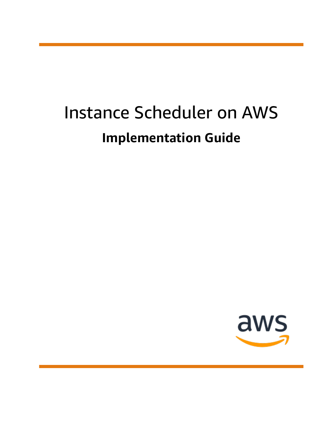# Instance Scheduler on AWS **Implementation Guide**

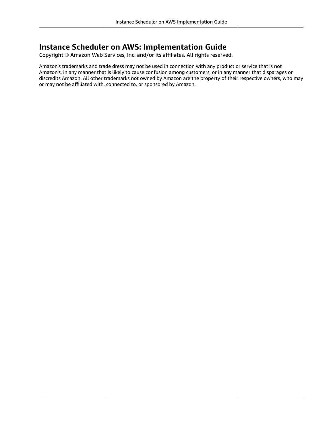#### **Instance Scheduler on AWS: Implementation Guide**

Copyright © Amazon Web Services, Inc. and/or its affiliates. All rights reserved.

Amazon's trademarks and trade dress may not be used in connection with any product or service that is not Amazon's, in any manner that is likely to cause confusion among customers, or in any manner that disparages or discredits Amazon. All other trademarks not owned by Amazon are the property of their respective owners, who may or may not be affiliated with, connected to, or sponsored by Amazon.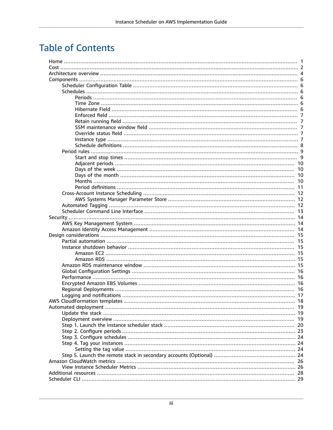## **Table of Contents**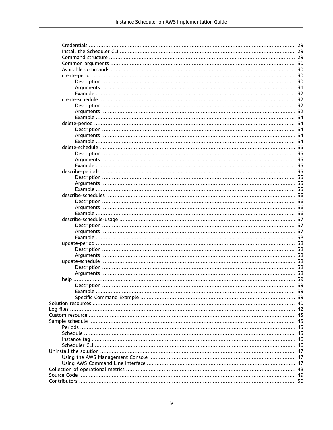|             | 30 |
|-------------|----|
|             | 30 |
|             | 30 |
|             |    |
|             |    |
|             |    |
|             |    |
|             | 32 |
|             |    |
|             |    |
|             |    |
|             |    |
|             |    |
|             | 34 |
|             | 35 |
|             |    |
|             |    |
|             |    |
|             |    |
|             |    |
|             |    |
|             |    |
|             |    |
|             | 36 |
|             |    |
|             | 36 |
|             |    |
|             |    |
|             |    |
|             |    |
|             |    |
|             |    |
|             |    |
|             |    |
|             |    |
|             |    |
|             |    |
| Description | 39 |
|             |    |
|             |    |
|             |    |
|             |    |
|             | 43 |
|             |    |
|             |    |
|             | 45 |
|             |    |
|             |    |
|             | 47 |
|             | 47 |
|             |    |
|             |    |
|             | 49 |
|             |    |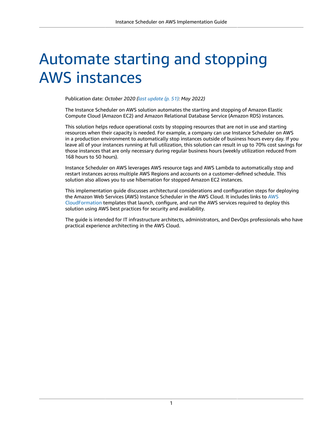# <span id="page-5-0"></span>Automate starting and stopping AWS instances

Publication date: *October 2020 [\(last update](#page-55-0) (p. [51\)](#page-55-0): May 2022)*

The Instance Scheduler on AWS solution automates the starting and stopping of Amazon Elastic Compute Cloud (Amazon EC2) and Amazon Relational Database Service (Amazon RDS) instances.

This solution helps reduce operational costs by stopping resources that are not in use and starting resources when their capacity is needed. For example, a company can use Instance Scheduler on AWS in a production environment to automatically stop instances outside of business hours every day. If you leave all of your instances running at full utilization, this solution can result in up to 70% cost savings for those instances that are only necessary during regular business hours (weekly utilization reduced from 168 hours to 50 hours).

Instance Scheduler on AWS leverages AWS resource tags and AWS Lambda to automatically stop and restart instances across multiple AWS Regions and accounts on a customer-defined schedule. This solution also allows you to use hibernation for stopped Amazon EC2 instances.

This implementation guide discusses architectural considerations and configuration steps for deploying the Amazon Web Services (AWS) Instance Scheduler in the AWS Cloud. It includes links to [AWS](https://aws.amazon.com/cloudformation/) [CloudFormation](https://aws.amazon.com/cloudformation/) templates that launch, configure, and run the AWS services required to deploy this solution using AWS best practices for security and availability.

The guide is intended for IT infrastructure architects, administrators, and DevOps professionals who have practical experience architecting in the AWS Cloud.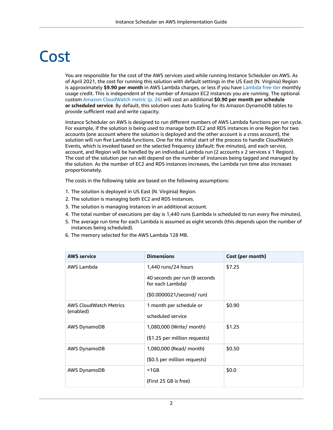# <span id="page-6-0"></span>Cost

You are responsible for the cost of the AWS services used while running Instance Scheduler on AWS. As of April 2021, the cost for running this solution with default settings in the US East (N. Virginia) Region is approximately **\$9.90 per month** in AWS Lambda charges, or less if you have [Lambda](https://aws.amazon.com/lambda/pricing/) free tier monthly usage credit. This is independent of the number of Amazon EC2 instances you are running. The optional custom Amazon [CloudWatch](#page-30-0) metri[c \(p. 26\)](#page-30-0) will cost an additional **\$0.90 per month per schedule or scheduled service**. By default, this solution uses Auto Scaling for its Amazon DynamoDB tables to provide sufficient read and write capacity.

Instance Scheduler on AWS is designed to run different numbers of AWS Lambda functions per run cycle. For example, if the solution is being used to manage both EC2 and RDS instances in one Region for two accounts (one account where the solution is deployed and the other account is a cross account), the solution will run five Lambda functions. One for the initial start of the process to handle CloudWatch Events, which is invoked based on the selected frequency (default: five minutes), and each service, account, and Region will be handled by an individual Lambda run (2 accounts x 2 services x 1 Region). The cost of the solution per run will depend on the number of instances being tagged and managed by the solution. As the number of EC2 and RDS instances increases, the Lambda run time also increases proportionately.

The costs in the following table are based on the following assumptions:

- 1. The solution is deployed in US East (N. Virginia) Region.
- 2. The solution is managing both EC2 and RDS instances.
- 3. The solution is managing instances in an additional account.
- 4. The total number of executions per day is 1,440 runs (Lambda is scheduled to run every five minutes).
- 5. The average run time for each Lambda is assumed as eight seconds (this depends upon the number of instances being scheduled).
- 6. The memory selected for the AWS Lambda 128 MB.

| <b>AWS service</b>                         | <b>Dimensions</b>                                 | Cost (per month) |
|--------------------------------------------|---------------------------------------------------|------------------|
| AWS Lambda                                 | 1,440 runs/24 hours                               | \$7.25           |
|                                            | 40 seconds per run (8 seconds<br>for each Lambda) |                  |
|                                            | (\$0.0000021/second/run)                          |                  |
| <b>AWS CloudWatch Metrics</b><br>(enabled) | 1 month per schedule or                           | \$0.90           |
|                                            | scheduled service                                 |                  |
| AWS DynamoDB                               | 1,080,000 (Write/ month)                          | \$1.25           |
|                                            | (\$1.25 per million requests)                     |                  |
| AWS DynamoDB                               | 1,080,000 (Read/ month)                           | \$0.50           |
|                                            | (\$0.5 per million requests)                      |                  |
| <b>AWS DynamoDB</b>                        | $1GB$                                             | \$0.0\$          |
|                                            | (First 25 GB is free)                             |                  |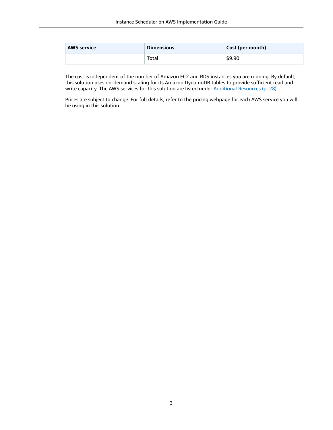| <b>AWS service</b> | <b>Dimensions</b> | Cost (per month) |
|--------------------|-------------------|------------------|
|                    | Total             | \$9.90           |

The cost is independent of the number of Amazon EC2 and RDS instances you are running. By default, this solution uses on-demand scaling for its Amazon DynamoDB tables to provide sufficient read and write capacity. The AWS services for this solution are listed under [Additional](#page-32-0) Resources [\(p. 28\).](#page-32-0)

Prices are subject to change. For full details, refer to the pricing webpage for each AWS service you will be using in this solution.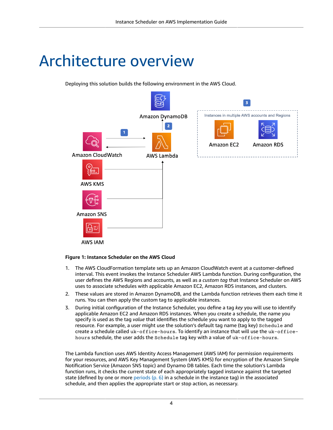# <span id="page-8-0"></span>Architecture overview

Deploying this solution builds the following environment in the AWS Cloud.



#### **Figure 1: Instance Scheduler on the AWS Cloud**

- 1. The AWS CloudFormation template sets up an Amazon CloudWatch event at a customer-defined interval. This event invokes the Instance Scheduler AWS Lambda function. During configuration, the user defines the AWS Regions and accounts, as well as a *custom tag* that Instance Scheduler on AWS uses to associate schedules with applicable Amazon EC2, Amazon RDS instances, and clusters.
- 2. These values are stored in Amazon DynamoDB, and the Lambda function retrieves them each time it runs. You can then apply the custom tag to applicable instances.
- 3. During initial configuration of the Instance Scheduler, you define a tag *key* you will use to identify applicable Amazon EC2 and Amazon RDS instances. When you create a schedule, the name you specify is used as the tag *value* that identifies the schedule you want to apply to the tagged resource. For example, a user might use the solution's default tag name (tag key) Schedule and create a schedule called uk-office-hours. To identify an instance that will use the uk-officehours schedule, the user adds the Schedule tag key with a value of uk-office-hours.

The Lambda function uses AWS Identity Access Management (AWS IAM) for permission requirements for your resources, and AWS Key Management System (AWS KMS) for encryption of the Amazon Simple Notification Service (Amazon SNS topic) and Dynamo DB tables. Each time the solution's Lambda function runs, it checks the current state of each appropriately tagged instance against the targeted state (defined by one or more periods  $(p, 6)$  in a schedule in the instance tag) in the associated schedule, and then applies the appropriate start or stop action, as necessary.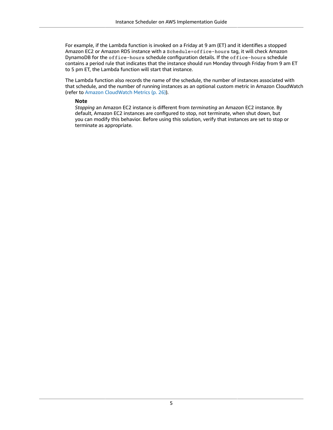For example, if the Lambda function is invoked on a Friday at 9 am (ET) and it identifies a stopped Amazon EC2 or Amazon RDS instance with a Schedule=office-hours tag, it will check Amazon DynamoDB for the office-hours schedule configuration details. If the office-hours schedule contains a period rule that indicates that the instance should run Monday through Friday from 9 am ET to 5 pm ET, the Lambda function will start that instance.

The Lambda function also records the name of the schedule, the number of instances associated with that schedule, and the number of running instances as an optional custom metric in Amazon CloudWatch (refer to Amazon [CloudWatch](#page-30-0) Metric[s \(p. 26\)](#page-30-0)).

#### **Note**

*Stopping* an Amazon EC2 instance is different from *terminating* an Amazon EC2 instance. By default, Amazon EC2 instances are configured to stop, not terminate, when shut down, but you can modify this behavior. Before using this solution, verify that instances are set to stop or terminate as appropriate.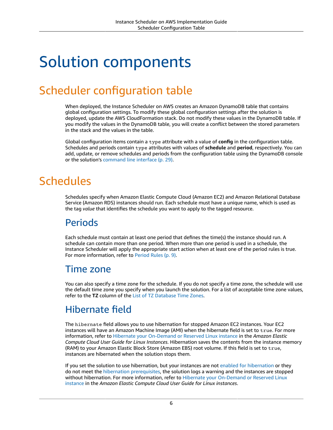# <span id="page-10-0"></span>Solution components

# <span id="page-10-1"></span>Scheduler configuration table

When deployed, the Instance Scheduler on AWS creates an Amazon DynamoDB table that contains global configuration settings. To modify these global configuration settings after the solution is deployed, update the AWS CloudFormation stack. Do not modify these values in the DynamoDB table. If you modify the values in the DynamoDB table, you will create a conflict between the stored parameters in the stack and the values in the table.

Global configuration items contain a type attribute with a value of **config** in the configuration table. Schedules and periods contain type attributes with values of **schedule** and **period**, respectively. You can add, update, or remove schedules and periods from the configuration table using the DynamoDB console or the solution's [command](#page-33-0) line interfac[e \(p. 29\)](#page-33-0).

# <span id="page-10-2"></span>**Schedules**

Schedules specify when Amazon Elastic Compute Cloud (Amazon EC2) and Amazon Relational Database Service (Amazon RDS) instances should run. Each schedule must have a unique name, which is used as the tag *value* that identifies the schedule you want to apply to the tagged resource.

#### <span id="page-10-3"></span>**Periods**

Each schedule must contain at least one period that defines the time(s) the instance should run. A schedule can contain more than one period. When more than one period is used in a schedule, the Instance Scheduler will apply the appropriate start action when at least one of the period rules is true. For more information, refer to [Period](#page-13-0) Rules [\(p. 9\)](#page-13-0).

#### <span id="page-10-4"></span>Time zone

You can also specify a time zone for the schedule. If you do not specify a time zone, the schedule will use the default time zone you specify when you launch the solution. For a list of acceptable time zone values, refer to the **TZ** column of the List of TZ [Database](https://en.wikipedia.org/wiki/List_of_tz_database_time_zones) Time Zones.

### <span id="page-10-5"></span>Hibernate field

The hibernate field allows you to use hibernation for stopped Amazon EC2 instances. Your EC2 instances will have an Amazon Machine Image (AMI) when the hibernate field is set to true. For more information, refer to Hibernate your [On-Demand](https://docs.aws.amazon.com/AWSEC2/latest/UserGuide/Hibernate.html) or Reserved Linux instance in the *Amazon Elastic Compute Cloud User Guide for Linux Instances*. Hibernation saves the contents from the instance memory (RAM) to your Amazon Elastic Block Store (Amazon EBS) root volume. If this field is set to true, instances are hibernated when the solution stops them.

If you set the solution to use hibernation, but your instances are not [enabled for hibernation](https://docs.aws.amazon.com/AWSEC2/latest/UserGuide/Hibernate.html#enabling-hibernation) or they do not meet the hibernation [prerequisites](https://docs.aws.amazon.com/AWSEC2/latest/UserGuide/Hibernate.html#hibernating-prerequisites), the solution logs a warning and the instances are stopped without hibernation. For more information, refer to Hibernate your [On-Demand](https://docs.aws.amazon.com/AWSEC2/latest/UserGuide/Hibernate.html) or Reserved Linux [instance](https://docs.aws.amazon.com/AWSEC2/latest/UserGuide/Hibernate.html) in the *Amazon Elastic Compute Cloud User Guide for Linux instances*.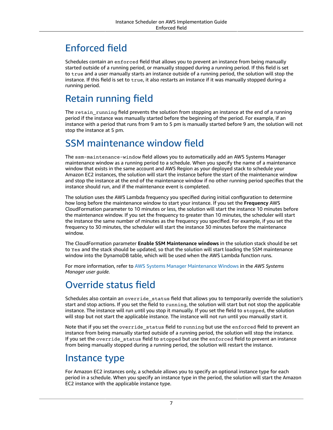## <span id="page-11-0"></span>Enforced field

Schedules contain an enforced field that allows you to prevent an instance from being manually started outside of a running period, or manually stopped during a running period. If this field is set to true and a user manually starts an instance outside of a running period, the solution will stop the instance. If this field is set to true, it also restarts an instance if it was manually stopped during a running period.

### <span id="page-11-1"></span>Retain running field

The retain running field prevents the solution from stopping an instance at the end of a running period if the instance was manually started before the beginning of the period. For example, if an instance with a period that runs from 9 am to 5 pm is manually started before 9 am, the solution will not stop the instance at 5 pm.

### <span id="page-11-2"></span>SSM maintenance window field

The ssm-maintenance-window field allows you to automatically add an AWS Systems Manager maintenance window as a running period to a schedule. When you specify the name of a maintenance window that exists in the same account and AWS Region as your deployed stack to schedule your Amazon EC2 instances, the solution will start the instance before the start of the maintenance window and stop the instance at the end of the maintenance window if no other running period specifies that the instance should run, and if the maintenance event is completed.

The solution uses the AWS Lambda frequency you specified during initial configuration to determine how long before the maintenance window to start your instance. If you set the **Frequency** AWS CloudFormation parameter to 10 minutes or less, the solution will start the instance 10 minutes before the maintenance window. If you set the frequency to greater than 10 minutes, the scheduler will start the instance the same number of minutes as the frequency you specified. For example, if you set the frequency to 30 minutes, the scheduler will start the instance 30 minutes before the maintenance window.

The CloudFormation parameter **Enable SSM Maintenance windows** in the solution stack should be set to Yes and the stack should be updated, so that the solution will start loading the SSM maintenance window into the DynamoDB table, which will be used when the AWS Lambda function runs.

For more information, refer to AWS Systems Manager [Maintenance](https://docs.aws.amazon.com/systems-manager/latest/userguide/systems-manager-maintenance.html) Windows in the *AWS Systems Manager user guide*.

### <span id="page-11-3"></span>Override status field

Schedules also contain an override\_status field that allows you to temporarily override the solution's start and stop actions. If you set the field to running, the solution will start but not stop the applicable instance. The instance will run until you stop it manually. If you set the field to stopped, the solution will stop but not start the applicable instance. The instance will not run until you manually start it.

Note that if you set the override status field to running but use the enforced field to prevent an instance from being manually started outside of a running period, the solution will stop the instance. If you set the override\_status field to stopped but use the enforced field to prevent an instance from being manually stopped during a running period, the solution will restart the instance.

#### <span id="page-11-4"></span>Instance type

For Amazon EC2 instances only, a schedule allows you to specify an optional instance type for each period in a schedule. When you specify an instance type in the period, the solution will start the Amazon EC2 instance with the applicable instance type.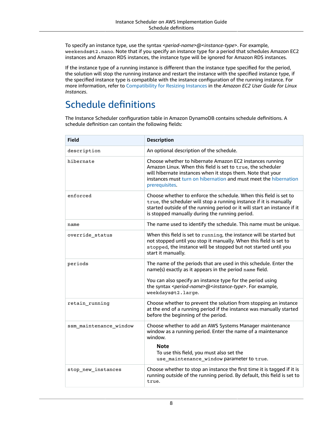To specify an instance type, use the syntax <*period-name*>@<*instance-type*>. For example, weekends@t2.nano. Note that if you specify an instance type for a period that schedules Amazon EC2 instances and Amazon RDS instances, the instance type will be ignored for Amazon RDS instances.

If the instance type of a running instance is different than the instance type specified for the period, the solution will stop the running instance and restart the instance with the specified instance type, if the specified instance type is compatible with the instance configuration of the running instance. For more information, refer to [Compatibility](https://docs.aws.amazon.com/AWSEC2/latest/UserGuide/ec2-instance-resize.html#resize-limitations) for Resizing Instances in the *Amazon EC2 User Guide for Linux Instances*.

### <span id="page-12-0"></span>Schedule definitions

The Instance Scheduler configuration table in Amazon DynamoDB contains schedule definitions. A schedule definition can contain the following fields:

| <b>Field</b>           | <b>Description</b>                                                                                                                                                                                                                                                                                        |
|------------------------|-----------------------------------------------------------------------------------------------------------------------------------------------------------------------------------------------------------------------------------------------------------------------------------------------------------|
| description            | An optional description of the schedule.                                                                                                                                                                                                                                                                  |
| hibernate              | Choose whether to hibernate Amazon EC2 instances running<br>Amazon Linux. When this field is set to true, the scheduler<br>will hibernate instances when it stops them. Note that your<br>instances must turn on hibernation and must meet the hibernation<br>prerequisites.                              |
| enforced               | Choose whether to enforce the schedule. When this field is set to<br>true, the scheduler will stop a running instance if it is manually<br>started outside of the running period or it will start an instance if it<br>is stopped manually during the running period.                                     |
| name                   | The name used to identify the schedule. This name must be unique.                                                                                                                                                                                                                                         |
| override status        | When this field is set to running, the instance will be started but<br>not stopped until you stop it manually. When this field is set to<br>stopped, the instance will be stopped but not started until you<br>start it manually.                                                                         |
| periods                | The name of the periods that are used in this schedule. Enter the<br>name(s) exactly as it appears in the period name field.<br>You can also specify an instance type for the period using<br>the syntax <period-name>@<instance-type>. For example,<br/>weekdays@t2.large.</instance-type></period-name> |
| retain_running         | Choose whether to prevent the solution from stopping an instance<br>at the end of a running period if the instance was manually started<br>before the beginning of the period.                                                                                                                            |
| ssm_maintenance_window | Choose whether to add an AWS Systems Manager maintenance<br>window as a running period. Enter the name of a maintenance<br>window.<br><b>Note</b><br>To use this field, you must also set the<br>use_maintenance_window parameter to true.                                                                |
| stop new instances     | Choose whether to stop an instance the first time it is tagged if it is<br>running outside of the running period. By default, this field is set to<br>true.                                                                                                                                               |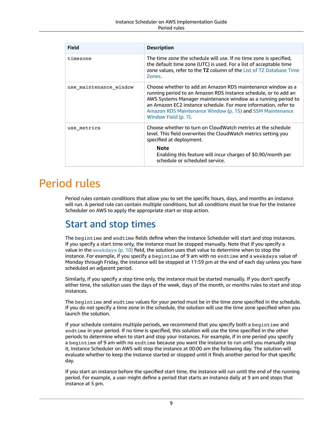| Field                  | <b>Description</b>                                                                                                                                                                                                                                                                                                                                      |  |
|------------------------|---------------------------------------------------------------------------------------------------------------------------------------------------------------------------------------------------------------------------------------------------------------------------------------------------------------------------------------------------------|--|
| timezone               | The time zone the schedule will use. If no time zone is specified,<br>the default time zone (UTC) is used. For a list of acceptable time<br>zone values, refer to the TZ column of the List of TZ Database Time<br>Zones.                                                                                                                               |  |
| use maintenance window | Choose whether to add an Amazon RDS maintenance window as a<br>running period to an Amazon RDS instance schedule, or to add an<br>AWS Systems Manager maintenance window as a running period to<br>an Amazon EC2 instance schedule. For more information, refer to<br>Amazon RDS Maintenance Window (p. 15) and SSM Maintenance<br>Window Field (p. 7). |  |
| use_metrics            | Choose whether to turn on CloudWatch metrics at the schedule<br>level. This field overwrites the CloudWatch metrics setting you<br>specified at deployment.                                                                                                                                                                                             |  |
|                        | <b>Note</b><br>Enabling this feature will incur charges of \$0.90/month per<br>schedule or scheduled service.                                                                                                                                                                                                                                           |  |

## <span id="page-13-0"></span>Period rules

Period rules contain conditions that allow you to set the specific hours, days, and months an instance will run. A period rule can contain multiple conditions, but all conditions must be true for the Instance Scheduler on AWS to apply the appropriate start or stop action.

### <span id="page-13-1"></span>Start and stop times

The begintime and endtime fields define when the Instance Scheduler will start and stop instances. If you specify a start time only, the instance must be stopped manually. Note that if you specify a value in the [weekdays](#page-14-1) [\(p. 10\)](#page-14-1) field, the solution uses that value to determine when to stop the instance. For example, if you specify a begintime of 9 am with no endtime and a weekdays value of Monday through Friday, the instance will be stopped at 11:59 pm at the end of each day unless you have scheduled an adjacent period.

Similarly, if you specify a stop time only, the instance must be started manually. If you don't specify either time, the solution uses the days of the week, days of the month, or months rules to start and stop instances.

The begintime and endtime values for your period must be in the time zone specified in the schedule. If you do not specify a time zone in the schedule, the solution will use the time zone specified when you launch the solution.

If your schedule contains multiple periods, we recommend that you specify both a begintime and endtime in your period. If no time is specified, this solution will use the time specified in the other periods to determine when to start and stop your instances. For example, if in one period you specify a begintime of 9 am with no endtime because you want the instance to run until you manually stop it, Instance Scheduler on AWS will stop the instance at 00:00 am the following day. The solution will evaluate whether to keep the instance started or stopped until it finds another period for that specific day.

If you start an instance before the specified start time, the instance will run until the end of the running period. For example, a user might define a period that starts an instance daily at 9 am and stops that instance at 5 pm.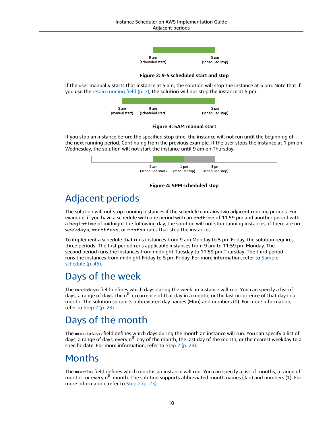

**Figure 2: 9-5 scheduled start and stop**

If the user manually starts that instance at 5 am, the solution will stop the instance at 5 pm. Note that if you use the retain [running](#page-11-1) field [\(p. 7\)](#page-11-1), the solution will not stop the instance at 5 pm.



**Figure 3: 5AM manual start**

If you stop an instance before the specified stop time, the instance will not run until the beginning of the next running period. Continuing from the previous example, if the user stops the instance at 1 pm on Wednesday, the solution will not start the instance until 9 am on Thursday.



#### **Figure 4: 5PM scheduled stop**

### <span id="page-14-0"></span>Adjacent periods

The solution will not stop running instances if the schedule contains two adjacent running periods. For example, if you have a schedule with one period with an endtime of 11:59 pm and another period with a begintime of midnight the following day, the solution will not stop running instances, if there are no weekdays, monthdays, or months rules that stop the instances.

To implement a schedule that runs instances from 9 am Monday to 5 pm Friday, the solution requires three periods. The first period runs applicable instances from 9 am to 11:59 pm Monday. The second period runs the instances from midnight Tuesday to 11:59 pm Thursday. The third period runs the instances from midnight Friday to 5 pm Friday. For more information, refer to [Sample](#page-49-0) [schedule \(p. 45\).](#page-49-0)

#### <span id="page-14-1"></span>Days of the week

The weekdays field defines which days during the week an instance will run. You can specify a list of days, a range of days, the n<sup>th</sup> occurrence of that day in a month, or the last occurrence of that day in a month. The solution supports abbreviated day names (Mon) and numbers (0). For more information, refer to [Step 2 \(p. 23\).](#page-27-0)

### <span id="page-14-2"></span>Days of the month

The monthdays field defines which days during the month an instance will run. You can specify a list of days, a range of days, every n<sup>th</sup> day of the month, the last day of the month, or the nearest weekday to a specific date. For more information, refer to [Step 2 \(p. 23\).](#page-27-0)

#### <span id="page-14-3"></span>Months

The months field defines which months an instance will run. You can specify a list of months, a range of months, or every n<sup>th</sup> month. The solution supports abbreviated month names (Jan) and numbers (1). For more information, refer to [Step 2 \(p. 23\)](#page-27-0).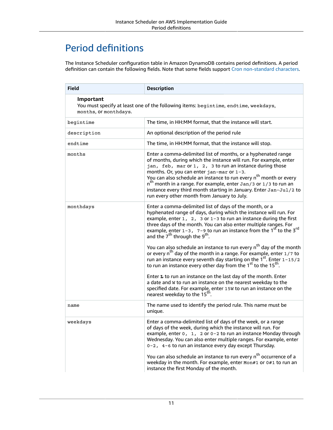### <span id="page-15-0"></span>Period definitions

The Instance Scheduler configuration table in Amazon DynamoDB contains period definitions. A period definition can contain the following fields. Note that some fields support Cron [non-standard](https://en.wikipedia.org/wiki/Cron#Non-Standard_Characters) characters.

| <b>Field</b>                                                                                                              | <b>Description</b>                                                                                                                                                                                                                                                                                                                                                                                                                                                                                                                                                                                                                                                                                                                                                                                                                                                                                                                                                                                               |  |  |
|---------------------------------------------------------------------------------------------------------------------------|------------------------------------------------------------------------------------------------------------------------------------------------------------------------------------------------------------------------------------------------------------------------------------------------------------------------------------------------------------------------------------------------------------------------------------------------------------------------------------------------------------------------------------------------------------------------------------------------------------------------------------------------------------------------------------------------------------------------------------------------------------------------------------------------------------------------------------------------------------------------------------------------------------------------------------------------------------------------------------------------------------------|--|--|
| Important<br>You must specify at least one of the following items: begintime, endtime, weekdays,<br>months, or monthdays. |                                                                                                                                                                                                                                                                                                                                                                                                                                                                                                                                                                                                                                                                                                                                                                                                                                                                                                                                                                                                                  |  |  |
| begintime                                                                                                                 | The time, in HH:MM format, that the instance will start.                                                                                                                                                                                                                                                                                                                                                                                                                                                                                                                                                                                                                                                                                                                                                                                                                                                                                                                                                         |  |  |
| description                                                                                                               | An optional description of the period rule                                                                                                                                                                                                                                                                                                                                                                                                                                                                                                                                                                                                                                                                                                                                                                                                                                                                                                                                                                       |  |  |
| endtime                                                                                                                   | The time, in HH:MM format, that the instance will stop.                                                                                                                                                                                                                                                                                                                                                                                                                                                                                                                                                                                                                                                                                                                                                                                                                                                                                                                                                          |  |  |
| months                                                                                                                    | Enter a comma-delimited list of months, or a hyphenated range<br>of months, during which the instance will run. For example, enter<br>jan, feb, mar or 1, 2, 3 to run an instance during those<br>months. Or, you can enter jan-mar or 1-3.<br>You can also schedule an instance to run every n <sup>th</sup> month or every<br>$nth$ month in a range. For example, enter Jan/3 or 1/3 to run an<br>instance every third month starting in January. Enter Jan-Jul/2 to<br>run every other month from January to July.                                                                                                                                                                                                                                                                                                                                                                                                                                                                                           |  |  |
| monthdays                                                                                                                 | Enter a comma-delimited list of days of the month, or a<br>hyphenated range of days, during which the instance will run. For<br>example, enter $1, 2, 3$ or $1-3$ to run an instance during the first<br>three days of the month. You can also enter multiple ranges. For<br>example, enter $1-3$ , $7-9$ to run an instance from the $1sf$ to the $3rd$<br>and the 7 <sup>th</sup> through the 9 <sup>th</sup> .<br>You can also schedule an instance to run every n <sup>th</sup> day of the month<br>or every n <sup>th</sup> day of the month in a range. For example, enter 1/7 to<br>run an instance every seventh day starting on the $1st$ . Enter $1-15/2$<br>to run an instance every other day from the 1 <sup>st</sup> to the 15 <sup>th</sup> .<br>Enter L to run an instance on the last day of the month. Enter<br>a date and w to run an instance on the nearest weekday to the<br>specified date. For example, enter 15W to run an instance on the<br>nearest weekday to the 15 <sup>th</sup> . |  |  |
| name                                                                                                                      | The name used to identify the period rule. This name must be<br>unique.                                                                                                                                                                                                                                                                                                                                                                                                                                                                                                                                                                                                                                                                                                                                                                                                                                                                                                                                          |  |  |
| weekdays                                                                                                                  | Enter a comma-delimited list of days of the week, or a range<br>of days of the week, during which the instance will run. For<br>example, enter $0, 1, 2$ or $0-2$ to run an instance Monday through<br>Wednesday. You can also enter multiple ranges. For example, enter<br>0-2, 4-6 to run an instance every day except Thursday.<br>You can also schedule an instance to run every n <sup>th</sup> occurrence of a<br>weekday in the month. For example, enter Mon#1 or 0#1 to run an<br>instance the first Monday of the month.                                                                                                                                                                                                                                                                                                                                                                                                                                                                               |  |  |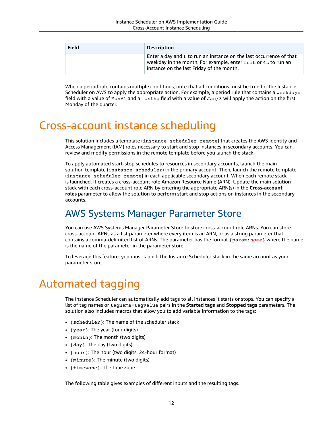| <b>Field</b> | <b>Description</b>                                                                                                                                                                  |
|--------------|-------------------------------------------------------------------------------------------------------------------------------------------------------------------------------------|
|              | Enter a day and $L$ to run an instance on the last occurrence of that<br>weekday in the month. For example, enter fril or 4L to run an<br>instance on the last Friday of the month. |

When a period rule contains multiple conditions, note that all conditions must be true for the Instance Scheduler on AWS to apply the appropriate action. For example, a period rule that contains a weekdays field with a value of Mon#1 and a months field with a value of Jan/3 will apply the action on the first Monday of the quarter.

## <span id="page-16-0"></span>Cross-account instance scheduling

This solution includes a template (instance-scheduler-remote) that creates the AWS Identity and Access Management (IAM) roles necessary to start and stop instances in secondary accounts. You can review and modify permissions in the remote template before you launch the stack.

To apply automated start-stop schedules to resources in secondary accounts, launch the main solution template (instance-scheduler) in the primary account. Then, launch the remote template (instance-scheduler-remote) in each applicable secondary account. When each remote stack is launched, it creates a cross-account role Amazon Resource Name (ARN). Update the main solution stack with each cross-account role ARN by entering the appropriate ARN(s) in the **Cross-account roles** parameter to allow the solution to perform start and stop actions on instances in the secondary accounts.

#### <span id="page-16-1"></span>AWS Systems Manager Parameter Store

You can use AWS Systems Manager Parameter Store to store cross-account role ARNs. You can store cross-account ARNs as a list parameter where every item is an ARN, or as a string parameter that contains a comma-delimited list of ARNs. The parameter has the format {param:*name*} where the name is the name of the parameter in the parameter store.

To leverage this feature, you must launch the Instance Scheduler stack in the same account as your parameter store.

# <span id="page-16-2"></span>Automated tagging

The Instance Scheduler can automatically add tags to all instances it starts or stops. You can specify a list of tag names or tagname=tagvalue pairs in the **Started tags** and **Stopped tags** parameters. The solution also includes macros that allow you to add variable information to the tags:

- {scheduler}: The name of the scheduler stack
- {year}: The year (four digits)
- {month}: The month (two digits)
- {day}: The day (two digits)
- {hour}: The hour (two digits, 24-hour format)
- {minute}: The minute (two digits)
- {timezone}: The time zone

The following table gives examples of different inputs and the resulting tags.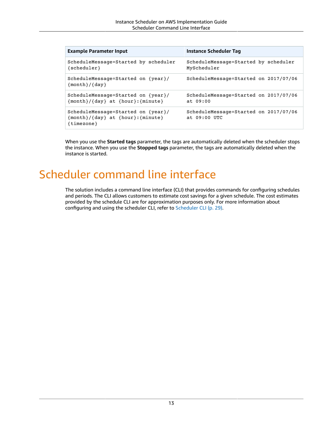| <b>Example Parameter Input</b>                                                        | <b>Instance Scheduler Tag</b>                           |
|---------------------------------------------------------------------------------------|---------------------------------------------------------|
| ScheduleMessage=Started by scheduler<br>{scheduler}                                   | ScheduleMessage=Started by scheduler<br>MyScheduler     |
| ScheduleMessage=Started on {year}/<br>$\{month\}/\{day\}$                             | ScheduleMessage=Started on 2017/07/06                   |
| ScheduleMessage=Started on {year}/<br>$\{month\}/\{day\}$ at $\{hour\}:\{minute\}$    | ScheduleMessage=Started on 2017/07/06<br>at 09:00       |
| ScheduleMessage=Started on {year}/<br>{month}/{day} at {hour}: {minute}<br>{timezone} | ScheduleMessage=Started on 2017/07/06<br>at $09:00$ UTC |

When you use the **Started tags** parameter, the tags are automatically deleted when the scheduler stops the instance. When you use the **Stopped tags** parameter, the tags are automatically deleted when the instance is started.

## <span id="page-17-0"></span>Scheduler command line interface

The solution includes a command line interface (CLI) that provides commands for configuring schedules and periods. The CLI allows customers to estimate cost savings for a given schedule. The cost estimates provided by the schedule CLI are for approximation purposes only. For more information about configuring and using the scheduler CLI, refer to [Scheduler CLI \(p. 29\).](#page-33-0)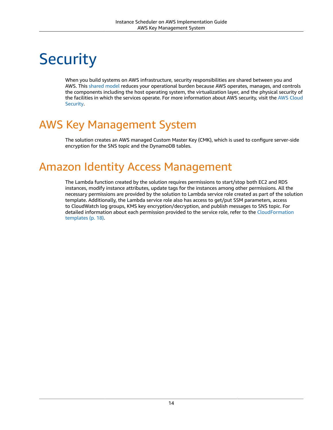# <span id="page-18-0"></span>**Security**

When you build systems on AWS infrastructure, security responsibilities are shared between you and AWS. This [shared](http://aws.amazon.com/compliance/shared-responsibility-model/) model reduces your operational burden because AWS operates, manages, and controls the components including the host operating system, the virtualization layer, and the physical security of the facilities in which the services operate. For more information about AWS security, visit the AWS [Cloud](http://aws.amazon.com/security/) [Security.](http://aws.amazon.com/security/)

# <span id="page-18-1"></span>AWS Key Management System

The solution creates an AWS managed Custom Master Key (CMK), which is used to configure server-side encryption for the SNS topic and the DynamoDB tables.

## <span id="page-18-2"></span>Amazon Identity Access Management

The Lambda function created by the solution requires permissions to start/stop both EC2 and RDS instances, modify instance attributes, update tags for the instances among other permissions. All the necessary permissions are provided by the solution to Lambda service role created as part of the solution template. Additionally, the Lambda service role also has access to get/put SSM parameters, access to CloudWatch log groups, KMS key encryption/decryption, and publish messages to SNS topic. For detailed information about each permission provided to the service role, refer to the [CloudFormation](#page-22-0) [templates \(p. 18\).](#page-22-0)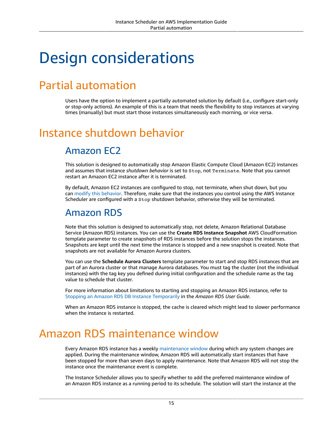# <span id="page-19-0"></span>Design considerations

## <span id="page-19-1"></span>Partial automation

Users have the option to implement a partially automated solution by default (i.e., configure start-only or stop-only actions). An example of this is a team that needs the flexibility to stop instances at varying times (manually) but must start those instances simultaneously each morning, or vice versa.

# <span id="page-19-3"></span><span id="page-19-2"></span>Instance shutdown behavior

### Amazon EC2

This solution is designed to automatically stop Amazon Elastic Compute Cloud (Amazon EC2) instances and assumes that instance *shutdown behavior* is set to Stop, not Terminate. Note that you cannot restart an Amazon EC2 instance after it is terminated.

By default, Amazon EC2 instances are configured to stop, not terminate, when shut down, but you can modify this [behavior.](https://docs.aws.amazon.com/AWSEC2/latest/UserGuide/terminating-instances.html#Using_ChangingInstanceInitiatedShutdownBehavior) Therefore, make sure that the instances you control using the AWS Instance Scheduler are configured with a Stop shutdown behavior, otherwise they will be terminated.

#### <span id="page-19-4"></span>Amazon RDS

Note that this solution is designed to automatically stop, not delete, Amazon Relational Database Service (Amazon RDS) instances. You can use the **Create RDS Instance Snapshot** AWS CloudFormation template parameter to create snapshots of RDS instances before the solution stops the instances. Snapshots are kept until the next time the instance is stopped and a new snapshot is created. Note that snapshots are not available for Amazon Aurora clusters.

You can use the **Schedule Aurora Clusters** template parameter to start and stop RDS instances that are part of an Aurora cluster or that manage Aurora databases. You must tag the cluster (not the individual instances) with the tag key you defined during initial configuration and the schedule name as the tag value to schedule that cluster.

For more information about limitations to starting and stopping an Amazon RDS instance, refer to Stopping an Amazon RDS DB Instance [Temporarily](https://docs.aws.amazon.com/AmazonRDS/latest/UserGuide/USER_StopInstance.html) in the *Amazon RDS User Guide*.

When an Amazon RDS instance is stopped, the cache is cleared which might lead to slower performance when the instance is restarted.

## <span id="page-19-5"></span>Amazon RDS maintenance window

Every Amazon RDS instance has a weekly [maintenance](https://docs.aws.amazon.com/AmazonRDS/latest/UserGuide/USER_UpgradeDBInstance.Maintenance.html#Concepts.DBMaintenance) window during which any system changes are applied. During the maintenance window, Amazon RDS will automatically start instances that have been stopped for more than seven days to apply maintenance. Note that Amazon RDS will not stop the instance once the maintenance event is complete.

The Instance Scheduler allows you to specify whether to add the preferred maintenance window of an Amazon RDS instance as a running period to its schedule. The solution will start the instance at the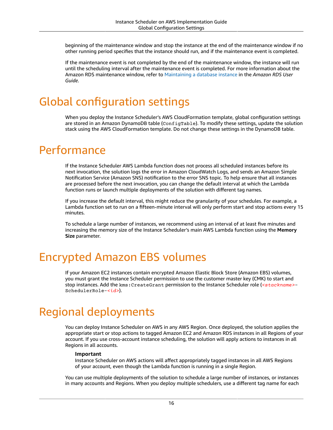beginning of the maintenance window and stop the instance at the end of the maintenance window if no other running period specifies that the instance should run, and if the maintenance event is completed.

If the maintenance event is not completed by the end of the maintenance window, the instance will run until the scheduling interval after the maintenance event is completed. For more information about the Amazon RDS maintenance window, refer to [Maintaining](https://docs.aws.amazon.com/AmazonRDS/latest/UserGuide/USER_UpgradeDBInstance.Maintenance.html) a database instance in the *Amazon RDS User Guide*.

# <span id="page-20-0"></span>Global configuration settings

When you deploy the Instance Scheduler's AWS CloudFormation template, global configuration settings are stored in an Amazon DynamoDB table (ConfigTable). To modify these settings, update the solution stack using the AWS CloudFormation template. Do not change these settings in the DynamoDB table.

## <span id="page-20-1"></span>**Performance**

If the Instance Scheduler AWS Lambda function does not process all scheduled instances before its next invocation, the solution logs the error in Amazon CloudWatch Logs, and sends an Amazon Simple Notification Service (Amazon SNS) notification to the error SNS topic. To help ensure that all instances are processed before the next invocation, you can change the default interval at which the Lambda function runs or launch multiple deployments of the solution with different tag names.

If you increase the default interval, this might reduce the granularity of your schedules. For example, a Lambda function set to run on a fifteen-minute interval will only perform start and stop actions every 15 minutes.

To schedule a large number of instances, we recommend using an interval of at least five minutes and increasing the memory size of the Instance Scheduler's main AWS Lambda function using the **Memory Size** parameter.

# <span id="page-20-2"></span>Encrypted Amazon EBS volumes

If your Amazon EC2 instances contain encrypted Amazon Elastic Block Store (Amazon EBS) volumes, you must grant the Instance Scheduler permission to use the customer master key (CMK) to start and stop instances. Add the kms:CreateGrant permission to the Instance Scheduler role (*<stackname>*- SchedulerRole-*<id>*).

# <span id="page-20-3"></span>Regional deployments

You can deploy Instance Scheduler on AWS in any AWS Region. Once deployed, the solution applies the appropriate start or stop actions to tagged Amazon EC2 and Amazon RDS instances in all Regions of your account. If you use cross-account instance scheduling, the solution will apply actions to instances in all Regions in all accounts.

#### **Important**

Instance Scheduler on AWS actions will affect appropriately tagged instances in all AWS Regions of your account, even though the Lambda function is running in a single Region.

You can use multiple deployments of the solution to schedule a large number of instances, or instances in many accounts and Regions. When you deploy multiple schedulers, use a different tag name for each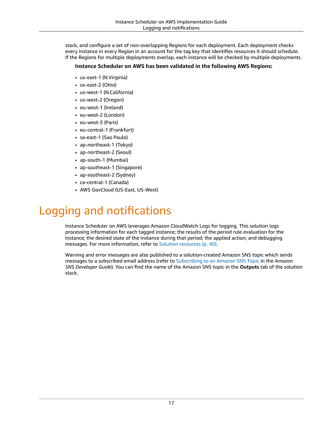stack, and configure a set of non-overlapping Regions for each deployment. Each deployment checks every instance in every Region in an account for the tag key that identifies resources it should schedule. If the Regions for multiple deployments overlap, each instance will be checked by multiple deployments.

#### **Instance Scheduler on AWS has been validated in the following AWS Regions:**

- us-east-1 (N.Virginia)
- us-east-2 (Ohio)
- us-west-1 (N.California)
- us-west-2 (Oregon)
- eu-west-1 (Ireland)
- eu-west-2 (London)
- eu-west-3 (Paris)
- eu-central-1 (Frankfurt)
- sa-east-1 (Sao Paulo)
- ap-northeast-1 (Tokyo)
- ap-northeast-2 (Seoul)
- ap-south-1 (Mumbai)
- ap-southeast-1 (Singapore)
- ap-southeast-2 (Sydney)
- ca-central-1 (Canada)
- AWS GovCloud (US-East, US-West)

# <span id="page-21-0"></span>Logging and notifications

Instance Scheduler on AWS leverages Amazon CloudWatch Logs for logging. This solution logs processing information for each tagged instance; the results of the period rule evaluation for the instance; the desired state of the instance during that period; the applied action; and debugging messages. For more information, refer to Solution [resources \(p. 40\)](#page-44-0).

Warning and error messages are also published to a solution-created Amazon SNS topic which sends messages to a subscribed email address (refer to [Subscribing](https://docs.aws.amazon.com/sns/latest/dg/sns-create-subscribe-endpoint-to-topic.html) to an Amazon SNS Topic in the *Amazon SNS Developer Guide*). You can find the name of the Amazon SNS topic in the **Outputs** tab of the solution stack.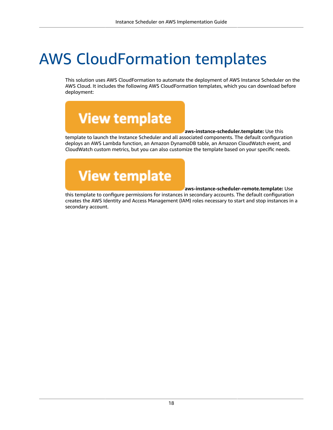# <span id="page-22-0"></span>AWS CloudFormation templates

This solution uses AWS CloudFormation to automate the deployment of AWS Instance Scheduler on the AWS Cloud. It includes the following AWS CloudFormation templates, which you can download before deployment:

**View template** 

**aws-instance-scheduler.template:** Use this

template to launch the Instance Scheduler and all associated components. The default configuration deploys an AWS Lambda function, an Amazon DynamoDB table, an Amazon CloudWatch event, and CloudWatch custom metrics, but you can also customize the template based on your specific needs.



**aws-instance-scheduler-remote.template:** Use

this template to configure permissions for instances in secondary accounts. The default configuration creates the AWS Identity and Access Management (IAM) roles necessary to start and stop instances in a secondary account.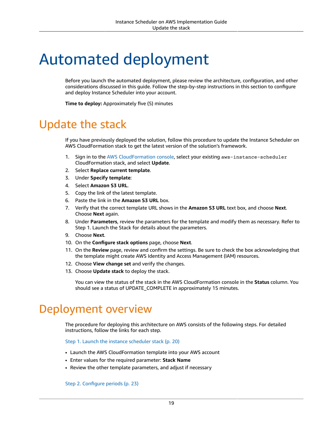# <span id="page-23-0"></span>Automated deployment

Before you launch the automated deployment, please review the architecture, configuration, and other considerations discussed in this guide. Follow the step-by-step instructions in this section to configure and deploy Instance Scheduler into your account.

**Time to deploy:** Approximately five (5) minutes

## <span id="page-23-1"></span>Update the stack

If you have previously deployed the solution, follow this procedure to update the Instance Scheduler on AWS CloudFormation stack to get the latest version of the solution's framework.

- 1. Sign in to the AWS [CloudFormation](https://console.aws.amazon.com/cloudformation/) console, select your existing aws-instance-scheduler CloudFormation stack, and select **Update**.
- 2. Select **Replace current template**.
- 3. Under **Specify template**:
- 4. Select **Amazon S3 URL**.
- 5. Copy the link of the latest template.
- 6. Paste the link in the **Amazon S3 URL** box.
- 7. Verify that the correct template URL shows in the **Amazon S3 URL** text box, and choose **Next**. Choose **Next** again.
- 8. Under **Parameters**, review the parameters for the template and modify them as necessary. Refer to Step 1. Launch the Stack for details about the parameters.
- 9. Choose **Next**.
- 10. On the **Configure stack options** page, choose **Next**.
- 11. On the **Review** page, review and confirm the settings. Be sure to check the box acknowledging that the template might create AWS Identity and Access Management (IAM) resources.
- 12. Choose **View change set** and verify the changes.
- 13. Choose **Update stack** to deploy the stack.

You can view the status of the stack in the AWS CloudFormation console in the **Status** column. You should see a status of UPDATE\_COMPLETE in approximately 15 minutes.

### <span id="page-23-2"></span>Deployment overview

The procedure for deploying this architecture on AWS consists of the following steps. For detailed instructions, follow the links for each step.

Step 1. Launch the instance [scheduler](#page-24-0) stac[k \(p. 20\)](#page-24-0)

- Launch the AWS CloudFormation template into your AWS account
- Enter values for the required parameter: **Stack Name**
- Review the other template parameters, and adjust if necessary

Step 2. [Configure](#page-27-0) periods [\(p. 23\)](#page-27-0)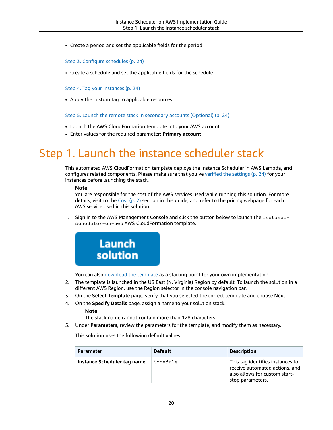• Create a period and set the applicable fields for the period

#### Step 3. Configure [schedules \(p. 24\)](#page-28-0)

• Create a schedule and set the applicable fields for the schedule

#### Step 4. Tag your [instances \(p. 24\)](#page-28-1)

• Apply the custom tag to applicable resources

Step 5. Launch the remote stack in secondary accounts [\(Optional\) \(p. 24\)](#page-28-3)

- Launch the AWS CloudFormation template into your AWS account
- Enter values for the required parameter: **Primary account**

# <span id="page-24-0"></span>Step 1. Launch the instance scheduler stack

This automated AWS CloudFormation template deploys the Instance Scheduler in AWS Lambda, and configures related components. Please make sure that you've verified the [settings \(p. 24\)](#page-28-1) for your instances before launching the stack.

#### **Note**

You are responsible for the cost of the AWS services used while running this solution. For more details, visit to the [Cost \(p. 2\)](#page-6-0) section in this guide, and refer to the pricing webpage for each AWS service used in this solution.

1. Sign in to the AWS Management Console and click the button below to launch the instancescheduler-on-aws AWS CloudFormation template.



You can also [download](https://s3.amazonaws.com/solutions-reference/aws-instance-scheduler/latest/aws-instance-scheduler.template) the template as a starting point for your own implementation.

- 2. The template is launched in the US East (N. Virginia) Region by default. To launch the solution in a different AWS Region, use the Region selector in the console navigation bar.
- 3. On the **Select Template** page, verify that you selected the correct template and choose **Next**.
- 4. On the **Specify Details** page, assign a name to your solution stack.

#### **Note**

The stack name cannot contain more than 128 characters.

5. Under **Parameters**, review the parameters for the template, and modify them as necessary.

This solution uses the following default values.

| <b>Parameter</b>            | <b>Default</b> | <b>Description</b>                                                                                                      |
|-----------------------------|----------------|-------------------------------------------------------------------------------------------------------------------------|
| Instance Scheduler tag name | Schedule       | This tag identifies instances to<br>receive automated actions, and<br>also allows for custom start-<br>stop parameters. |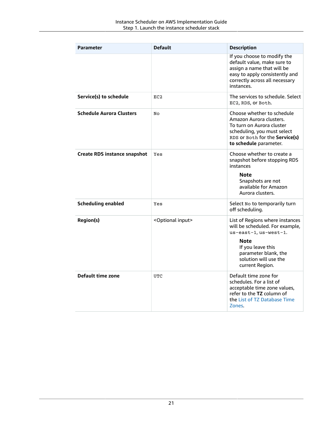| <b>Parameter</b>                    | <b>Default</b>                 | <b>Description</b>                                                                                                                                                                           |
|-------------------------------------|--------------------------------|----------------------------------------------------------------------------------------------------------------------------------------------------------------------------------------------|
|                                     |                                | If you choose to modify the<br>default value, make sure to<br>assign a name that will be<br>easy to apply consistently and<br>correctly across all necessary<br>instances.                   |
| Service(s) to schedule              | EC2                            | The services to schedule. Select<br>EC2, RDS, or Both.                                                                                                                                       |
| <b>Schedule Aurora Clusters</b>     | No                             | Choose whether to schedule<br>Amazon Aurora clusters.<br>To turn on Aurora cluster<br>scheduling, you must select<br>RDS or Both for the Service(s)<br>to schedule parameter.                |
| <b>Create RDS instance snapshot</b> | Yes                            | Choose whether to create a<br>snapshot before stopping RDS<br>instances<br>Note<br>Snapshots are not<br>available for Amazon<br>Aurora clusters.                                             |
| <b>Scheduling enabled</b>           | Yes                            | Select No to temporarily turn<br>off scheduling.                                                                                                                                             |
| <b>Region(s)</b>                    | <optional input=""></optional> | List of Regions where instances<br>will be scheduled. For example,<br>us-east-1, us-west-1.<br>Note<br>If you leave this<br>parameter blank, the<br>solution will use the<br>current Region. |
| Default time zone                   | <b>UTC</b>                     | Default time zone for<br>schedules. For a list of<br>acceptable time zone values,<br>refer to the TZ column of<br>the List of TZ Database Time<br>Zones.                                     |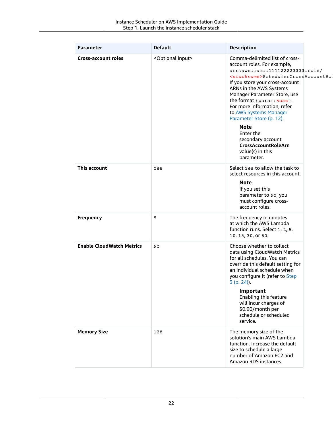| <b>Parameter</b>                 | <b>Default</b>                 | <b>Description</b>                                                                                                                                                                                                                                                                                                                                                                                                                                                                                    |
|----------------------------------|--------------------------------|-------------------------------------------------------------------------------------------------------------------------------------------------------------------------------------------------------------------------------------------------------------------------------------------------------------------------------------------------------------------------------------------------------------------------------------------------------------------------------------------------------|
| <b>Cross-account roles</b>       | <optional input=""></optional> | Comma-delimited list of cross-<br>account roles. For example,<br>arn: aws: iam:: 111122223333: role/<br><stackname>SchedulerCrossAccountRol<br/>If you store your cross-account<br/>ARNs in the AWS Systems<br/>Manager Parameter Store, use<br/>the format {param: name}.<br/>For more information, refer<br/>to AWS Systems Manager<br/>Parameter Store (p. 12).<br/><b>Note</b><br/>Enter the<br/>secondary account<br/><b>CrossAccountRoleArn</b><br/>value(s) in this<br/>parameter.</stackname> |
| This account                     | Yes                            | Select Yes to allow the task to<br>select resources in this account.<br>Note<br>If you set this<br>parameter to No, you<br>must configure cross-<br>account roles.                                                                                                                                                                                                                                                                                                                                    |
| <b>Frequency</b>                 | 5                              | The frequency in minutes<br>at which the AWS Lambda<br>function runs. Select 1, 2, 5,<br>10, 15, 30, or 60.                                                                                                                                                                                                                                                                                                                                                                                           |
| <b>Enable CloudWatch Metrics</b> | No                             | Choose whether to collect<br>data using CloudWatch Metrics<br>for all schedules. You can<br>override this default setting for<br>an individual schedule when<br>you configure it (refer to Step<br>3 (p. 24)).<br>Important<br>Enabling this feature<br>will incur charges of<br>\$0.90/month per<br>schedule or scheduled<br>service.                                                                                                                                                                |
| <b>Memory Size</b>               | 128                            | The memory size of the<br>solution's main AWS Lambda<br>function. Increase the default<br>size to schedule a large<br>number of Amazon EC2 and<br>Amazon RDS instances.                                                                                                                                                                                                                                                                                                                               |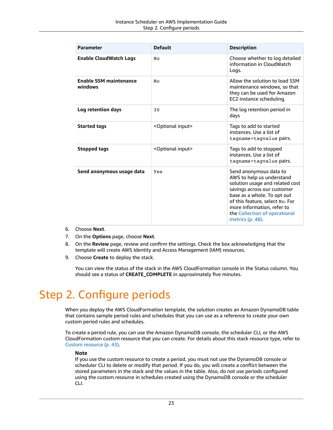| <b>Parameter</b>                         | <b>Default</b>                 | <b>Description</b>                                                                                                                                                                                                                                                         |
|------------------------------------------|--------------------------------|----------------------------------------------------------------------------------------------------------------------------------------------------------------------------------------------------------------------------------------------------------------------------|
| <b>Enable CloudWatch Logs</b>            | No                             | Choose whether to log detailed<br>information in CloudWatch<br>Logs.                                                                                                                                                                                                       |
| <b>Enable SSM maintenance</b><br>windows | No                             | Allow the solution to load SSM<br>maintenance windows, so that<br>they can be used for Amazon<br>EC2 instance scheduling.                                                                                                                                                  |
| Log retention days                       | 30                             | The log retention period in<br>days                                                                                                                                                                                                                                        |
| <b>Started tags</b>                      | <optional input=""></optional> | Tags to add to started<br>instances. Use a list of<br>tagname=tagvalue pairs.                                                                                                                                                                                              |
| <b>Stopped tags</b>                      | <optional input=""></optional> | Tags to add to stopped<br>instances. Use a list of<br>tagname=tagvalue pairs.                                                                                                                                                                                              |
| Send anonymous usage data                | Yes                            | Send anonymous data to<br>AWS to help us understand<br>solution usage and related cost<br>savings across our customer<br>base as a whole. To opt out<br>of this feature, select No. For<br>more information, refer to<br>the Collection of operational<br>metrics (p. 48). |

- 6. Choose **Next**.
- 7. On the **Options** page, choose **Next**.
- 8. On the **Review** page, review and confirm the settings. Check the box acknowledging that the template will create AWS Identity and Access Management (IAM) resources.
- 9. Choose **Create** to deploy the stack.

You can view the status of the stack in the AWS CloudFormation console in the Status column. You should see a status of **CREATE\_COMPLETE** in approximately five minutes.

# <span id="page-27-0"></span>Step 2. Configure periods

When you deploy the AWS CloudFormation template, the solution creates an Amazon DynamoDB table that contains sample period rules and schedules that you can use as a reference to create your own custom period rules and schedules.

To create a period rule, you can use the Amazon DynamoDB console, the scheduler CLI, or the AWS CloudFormation custom resource that you can create. For details about this stack resource type, refer to Custom [resource \(p. 43\).](#page-47-0)

#### **Note**

If you use the custom resource to create a period, you must not use the DynamoDB console or scheduler CLI to delete or modify that period. If you do, you will create a conflict between the stored parameters in the stack and the values in the table. Also, do not use periods configured using the custom resource in schedules created using the DynamoDB console or the scheduler CLI.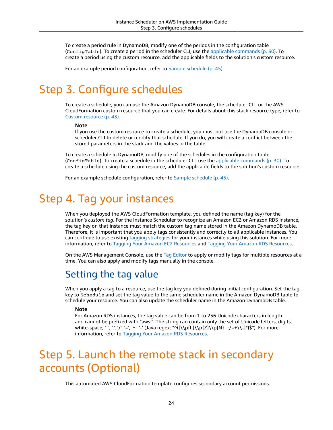To create a period rule in DynamoDB, modify one of the periods in the configuration table (ConfigTable). To create a period in the scheduler CLI, use the applicable [commands \(p. 30\)](#page-34-1). To create a period using the custom resource, add the applicable fields to the solution's custom resource.

For an example period configuration, refer to [Sample schedule \(p. 45\)](#page-49-0).

# <span id="page-28-0"></span>Step 3. Configure schedules

To create a schedule, you can use the Amazon DynamoDB console, the scheduler CLI, or the AWS CloudFormation custom resource that you can create. For details about this stack resource type, refer to Custom [resource \(p. 43\).](#page-47-0)

#### **Note**

If you use the custom resource to create a schedule, you must not use the DynamoDB console or scheduler CLI to delete or modify that schedule. If you do, you will create a conflict between the stored parameters in the stack and the values in the table.

To create a schedule in DynamoDB, modify one of the schedules in the configuration table (ConfigTable). To create a schedule in the scheduler CLI, use the applicable [commands \(p. 30\)](#page-34-1). To create a schedule using the custom resource, add the applicable fields to the solution's custom resource.

For an example schedule configuration, refer to [Sample schedule \(p. 45\)](#page-49-0).

# <span id="page-28-1"></span>Step 4. Tag your instances

When you deployed the AWS CloudFormation template, you defined the name (tag key) for the solution's *custom tag*. For the Instance Scheduler to recognize an Amazon EC2 or Amazon RDS instance, the tag key on that instance must match the custom tag name stored in the Amazon DynamoDB table. Therefore, it is important that you apply tags consistently and correctly to all applicable instances. You can continue to use existing [tagging strategies](https://aws.amazon.com/answers/account-management/aws-tagging-strategies/) for your instances while using this solution. For more information, refer to Tagging Your Amazon EC2 [Resources](https://docs.aws.amazon.com/AWSEC2/latest/UserGuide/Using_Tags.html) and Tagging Your Amazon RDS [Resources](https://docs.aws.amazon.com/AmazonRDS/latest/UserGuide/USER_Tagging.html).

On the AWS Management Console, use the Tag [Editor](https://console.aws.amazon.com/resource-groups/tag-editor/) to apply or modify tags for multiple resources at a time. You can also apply and modify tags manually in the console.

### <span id="page-28-2"></span>Setting the tag value

When you apply a tag to a resource, use the tag key you defined during initial configuration. Set the tag key to Schedule and set the tag value to the same scheduler name in the Amazon DynamoDB table to schedule your resource. You can also update the scheduler name in the Amazon DynamoDB table.

#### **Note**

For Amazon RDS instances, the tag value can be from 1 to 256 Unicode characters in length and cannot be prefixed with "aws:". The string can contain only the set of Unicode letters, digits, white-space, '\_', '.', '/', '=', '+', '-' (Java regex: "^([\\p{L}\\p{L}\\p{N}\_.:/=+\\-]\*)\$"). For more information, refer to Tagging Your Amazon RDS [Resources.](https://docs.aws.amazon.com/AmazonRDS/latest/UserGuide/USER_Tagging.html)

# <span id="page-28-3"></span>Step 5. Launch the remote stack in secondary accounts (Optional)

This automated AWS CloudFormation template configures secondary account permissions.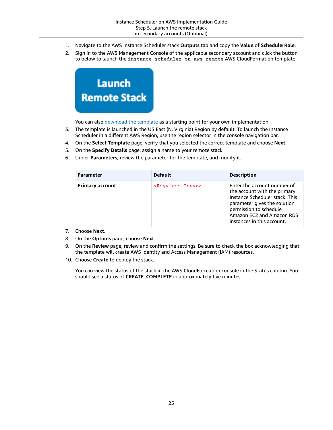- 1. Navigate to the AWS Instance Scheduler stack **Outputs** tab and copy the **Value** of **SchedulerRole**.
- 2. Sign in to the AWS Management Console of the applicable secondary account and click the button to below to launch the instance-scheduler-on-aws-remote AWS CloudFormation template.



You can also [download](https://s3.amazonaws.com/solutions-reference/aws-instance-scheduler/latest/aws-instance-scheduler-remote.template) the template as a starting point for your own implementation.

- 3. The template is launched in the US East (N. Virginia) Region by default. To launch the Instance Scheduler in a different AWS Region, use the region selector in the console navigation bar.
- 4. On the **Select Template** page, verify that you selected the correct template and choose **Next**.
- 5. On the **Specify Details** page, assign a name to your remote stack.
- 6. Under **Parameters**, review the parameter for the template, and modify it.

| <b>Parameter</b>       | <b>Default</b>                 | <b>Description</b>                                                                                                                                                                                                 |
|------------------------|--------------------------------|--------------------------------------------------------------------------------------------------------------------------------------------------------------------------------------------------------------------|
| <b>Primary account</b> | <requires input=""></requires> | Enter the account number of<br>the account with the primary<br>Instance Scheduler stack. This<br>parameter gives the solution<br>permission to schedule<br>Amazon EC2 and Amazon RDS<br>instances in this account. |

- 7. Choose **Next**.
- 8. On the **Options** page, choose **Next**.
- 9. On the **Review** page, review and confirm the settings. Be sure to check the box acknowledging that the template will create AWS Identity and Access Management (IAM) resources.
- 10. Choose **Create** to deploy the stack.

You can view the status of the stack in the AWS CloudFormation console in the Status column. You should see a status of **CREATE\_COMPLETE** in approximately five minutes.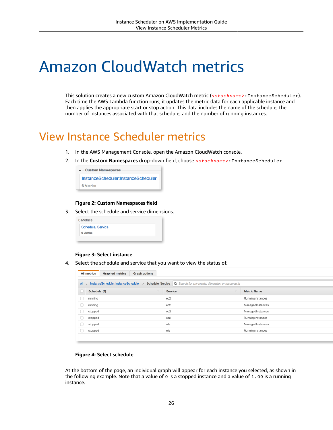# <span id="page-30-0"></span>Amazon CloudWatch metrics

This solution creates a new custom Amazon CloudWatch metric (*<stackname>*:InstanceScheduler). Each time the AWS Lambda function runs, it updates the metric data for each applicable instance and then applies the appropriate start or stop action. This data includes the name of the schedule, the number of instances associated with that schedule, and the number of running instances.

## <span id="page-30-1"></span>View Instance Scheduler metrics

- 1. In the AWS Management Console, open the Amazon CloudWatch console.
- 2. In the **Custom Namespaces** drop-down field, choose *<stackname>*:InstanceScheduler.



#### **Figure 2: Custom Namespaces field**

3. Select the schedule and service dimensions.

| 6 Metrics         |  |
|-------------------|--|
| Schedule, Service |  |
| 6 Metrics         |  |

#### **Figure 3: Select instance**

4. Select the schedule and service that you want to view the status of.

| <b>Graphed metrics</b><br><b>Graph options</b><br><b>All metrics</b> |                                          |                                                                       |                    |
|----------------------------------------------------------------------|------------------------------------------|-----------------------------------------------------------------------|--------------------|
| All                                                                  | InstanceScheduler:InstanceScheduler      | Schedule, Service   Q Search for any metric, dimension or resource id |                    |
|                                                                      | Schedule (6)<br>$\overline{\phantom{a}}$ | <b>Service</b><br>÷                                                   | <b>Metric Name</b> |
|                                                                      | running                                  | ec2                                                                   | RunningInstances   |
|                                                                      | running                                  | ec2                                                                   | ManagedInstances   |
|                                                                      | stopped                                  | ec2                                                                   | ManagedInstances   |
|                                                                      | stopped                                  | ec2                                                                   | RunningInstances   |
|                                                                      | stopped                                  | rds                                                                   | ManagedInstances   |
|                                                                      | stopped                                  | rds                                                                   | RunningInstances   |
|                                                                      |                                          |                                                                       |                    |

#### **Figure 4: Select schedule**

At the bottom of the page, an individual graph will appear for each instance you selected, as shown in the following example. Note that a value of 0 is a stopped instance and a value of 1.00 is a running instance.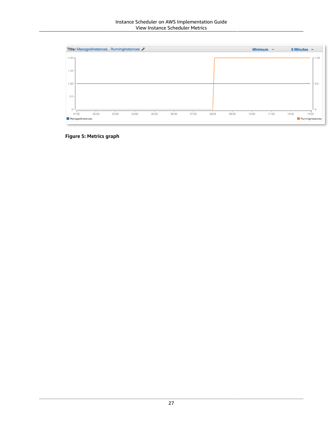

**Figure 5: Metrics graph**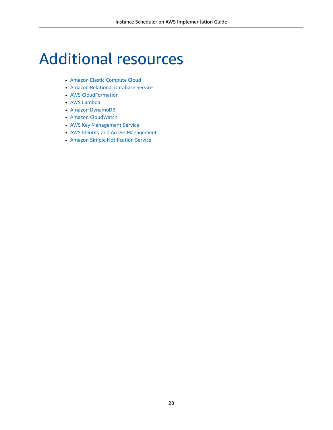# <span id="page-32-0"></span>Additional resources

- Amazon Elastic [Compute](https://aws.amazon.com/documentation/ec2/) Cloud
- Amazon [Relational](https://aws.amazon.com/documentation/rds/) Database Service
- AWS [CloudFormation](https://aws.amazon.com/documentation/cloudformation/)
- AWS [Lambda](https://aws.amazon.com/documentation/lambda/)
- Amazon [DynamoDB](https://aws.amazon.com/documentation/dynamodb/)
- Amazon [CloudWatch](https://aws.amazon.com/documentation/cloudwatch/)
- AWS Key [Management](https://aws.amazon.com/documentation/kms/) Service
- AWS Identity and Access [Management](https://aws.amazon.com/documentation/iam/)
- Amazon Simple [Notification](https://aws.amazon.com/documentation/sns/) Service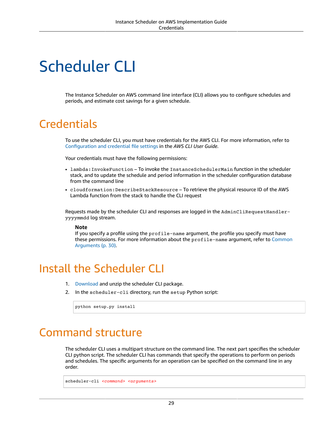# <span id="page-33-0"></span>Scheduler CLI

The Instance Scheduler on AWS command line interface (CLI) allows you to configure schedules and periods, and estimate cost savings for a given schedule.

## <span id="page-33-1"></span>**Credentials**

To use the scheduler CLI, you must have credentials for the AWS CLI. For more information, refer to [Configuration](https://docs.aws.amazon.com/cli/latest/userguide/cli-configure-files.html) and credential file settings in the *AWS CLI User Guide*.

Your credentials must have the following permissions:

- lambda:InvokeFunction To invoke the InstanceSchedulerMain function in the scheduler stack, and to update the schedule and period information in the scheduler configuration database from the command line
- cloudformation:DescribeStackResource To retrieve the physical resource ID of the AWS Lambda function from the stack to handle the CLI request

Requests made by the scheduler CLI and responses are logged in the AdminCliRequestHandleryyyymmdd log stream.

#### **Note**

If you specify a profile using the profile-name argument, the profile you specify must have these permissions. For more information about the profile-name argument, refer to [Common](#page-34-0) [Arguments \(p. 30\).](#page-34-0)

## <span id="page-33-2"></span>Install the Scheduler CLI

- 1. [Download](https://s3.amazonaws.com/solutions-reference/aws-instance-scheduler/latest/scheduler-cli.zip) and unzip the scheduler CLI package.
- 2. In the scheduler-cli directory, run the setup Python script:

```
python setup.py install
```
### <span id="page-33-3"></span>Command structure

The scheduler CLI uses a multipart structure on the command line. The next part specifies the scheduler CLI python script. The scheduler CLI has commands that specify the operations to perform on periods and schedules. The specific arguments for an operation can be specified on the command line in any order.

scheduler-cli *<command> <arguments>*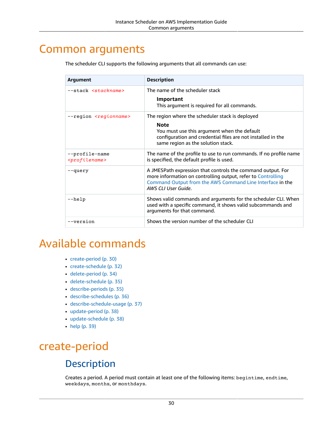### <span id="page-34-0"></span>Common arguments

| Argument                                      | <b>Description</b>                                                                                                                                                                                                  |
|-----------------------------------------------|---------------------------------------------------------------------------------------------------------------------------------------------------------------------------------------------------------------------|
| --stack <stackname></stackname>               | The name of the scheduler stack<br>Important<br>This argument is required for all commands.                                                                                                                         |
| --region <regionname></regionname>            | The region where the scheduler stack is deployed<br><b>Note</b><br>You must use this argument when the default<br>configuration and credential files are not installed in the<br>same region as the solution stack. |
| --profile-name<br><profilename></profilename> | The name of the profile to use to run commands. If no profile name<br>is specified, the default profile is used.                                                                                                    |
| --query                                       | A JMESPath expression that controls the command output. For<br>more information on controlling output, refer to Controlling<br>Command Output from the AWS Command Line Interface in the<br>AWS CLI User Guide.     |
| $-\text{help}$                                | Shows valid commands and arguments for the scheduler CLI. When<br>used with a specific command, it shows valid subcommands and<br>arguments for that command.                                                       |
| --version                                     | Shows the version number of the scheduler CLI                                                                                                                                                                       |

The scheduler CLI supports the following arguments that all commands can use:

# <span id="page-34-1"></span>Available commands

- [create-period \(p. 30\)](#page-34-2)
- [create-schedule \(p. 32\)](#page-36-1)
- [delete-period \(p. 34\)](#page-38-1)
- [delete-schedule \(p. 35\)](#page-39-0)
- [describe-periods \(p. 35\)](#page-39-4)
- [describe-schedules \(p. 36\)](#page-40-0)
- [describe-schedule-usage \(p. 37\)](#page-41-0)
- [update-period \(p. 38\)](#page-42-1)
- [update-schedule \(p. 38\)](#page-42-4)
- [help \(p. 39\)](#page-43-0)

# <span id="page-34-3"></span><span id="page-34-2"></span>create-period

### **Description**

Creates a period. A period must contain at least one of the following items: begintime, endtime, weekdays, months, or monthdays.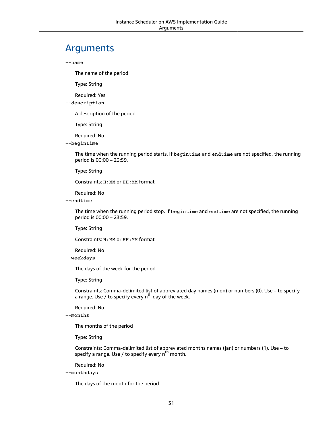#### <span id="page-35-0"></span>Arguments

--name

The name of the period

Type: String

Required: Yes

--description

A description of the period

Type: String

Required: No

--begintime

The time when the running period starts. If begintime and endtime are not specified, the running period is 00:00 – 23:59.

Type: String

Constraints: H:MM or HH:MM format

Required: No

--endtime

The time when the running period stop. If begintime and endtime are not specified, the running period is 00:00 – 23:59.

Type: String

Constraints: H:MM or HH:MM format

Required: No

--weekdays

The days of the week for the period

Type: String

Constraints: Comma-delimited list of abbreviated day names (mon) or numbers (0). Use – to specify a range. Use / to specify every n<sup>th</sup> day of the week.

Required: No

--months

The months of the period

Type: String

Constraints: Comma-delimited list of abbreviated months names (jan) or numbers (1). Use – to specify a range. Use / to specify every n<sup>th</sup> month.

Required: No

--monthdays

The days of the month for the period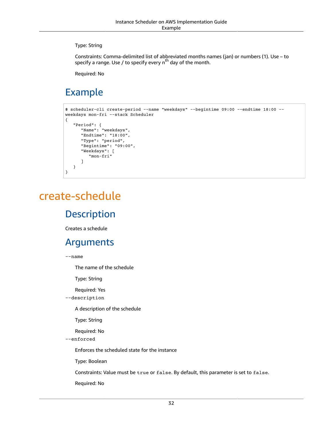Type: String

Constraints: Comma-delimited list of abbreviated months names (jan) or numbers (1). Use – to specify a range. Use / to specify every n<sup>th</sup> day of the month.

Required: No

## <span id="page-36-0"></span>Example

```
$ scheduler-cli create-period --name "weekdays" --begintime 09:00 --endtime 18:00 --
weekdays mon-fri --stack Scheduler
{
    "Period": {
       "Name": "weekdays", 
       "Endtime": "18:00", 
       "Type": "period", 
       "Begintime": "09:00", 
       "Weekdays": [
          "mon-fri"
       ]
    }
}
```
## <span id="page-36-2"></span><span id="page-36-1"></span>create-schedule

#### **Description**

Creates a schedule

#### <span id="page-36-3"></span>Arguments

--name

The name of the schedule

Type: String

Required: Yes

--description

A description of the schedule

Type: String

Required: No

--enforced

Enforces the scheduled state for the instance

Type: Boolean

Constraints: Value must be true or false. By default, this parameter is set to false.

Required: No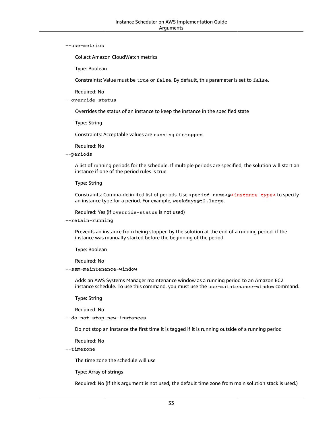#### --use-metrics

Collect Amazon CloudWatch metrics

Type: Boolean

Constraints: Value must be true or false. By default, this parameter is set to false.

Required: No

--override-status

Overrides the status of an instance to keep the instance in the specified state

Type: String

Constraints: Acceptable values are running or stopped

Required: No

--periods

A list of running periods for the schedule. If multiple periods are specified, the solution will start an instance if one of the period rules is true.

Type: String

Constraints: Comma-delimited list of periods. Use <period-name>@*<instance type>* to specify an instance type for a period. For example, weekdays@t2.large.

Required: Yes (if override-status is not used)

--retain-running

Prevents an instance from being stopped by the solution at the end of a running period, if the instance was manually started before the beginning of the period

Type: Boolean

Required: No

--ssm-maintenance-window

Adds an AWS Systems Manager maintenance window as a running period to an Amazon EC2 instance schedule. To use this command, you must use the use-maintenance-window command.

Type: String

Required: No

--do-not-stop-new-instances

Do not stop an instance the first time it is tagged if it is running outside of a running period

Required: No

--timezone

The time zone the schedule will use

Type: Array of strings

Required: No (If this argument is not used, the default time zone from main solution stack is used.)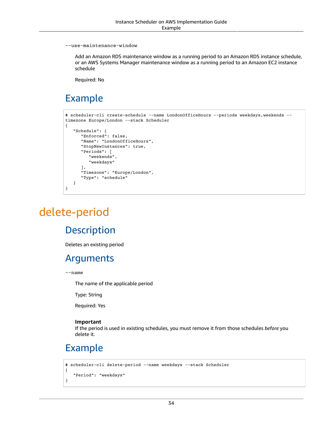--use-maintenance-window

Add an Amazon RDS maintenance window as a running period to an Amazon RDS instance schedule, or an AWS Systems Manager maintenance window as a running period to an Amazon EC2 instance schedule

Required: No

### <span id="page-38-0"></span>Example

```
$ scheduler-cli create-schedule --name LondonOfficeHours --periods weekdays,weekends --
timezone Europe/London --stack Scheduler
{
    "Schedule": {
       "Enforced": false, 
       "Name": "LondonOfficeHours", 
       "StopNewInstances": true, 
       "Periods": [
          "weekends", 
          "weekdays"
       ], 
       "Timezone": "Europe/London", 
       "Type": "schedule"
    }
}
```
# <span id="page-38-2"></span><span id="page-38-1"></span>delete-period

#### **Description**

Deletes an existing period

#### <span id="page-38-3"></span>Arguments

--name

The name of the applicable period

Type: String

Required: Yes

#### **Important**

If the period is used in existing schedules, you must remove it from those schedules *before* you delete it.

### <span id="page-38-4"></span>Example

```
$ scheduler-cli delete-period --name weekdays --stack Scheduler
{
    "Period": "weekdays"
}
```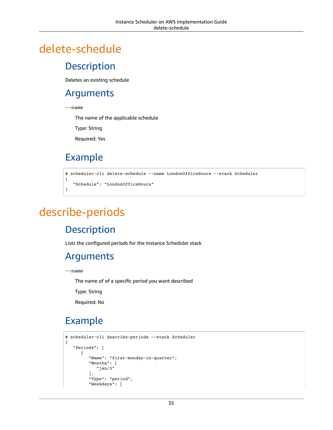# <span id="page-39-1"></span><span id="page-39-0"></span>delete-schedule

#### **Description**

Deletes an existing schedule

#### <span id="page-39-2"></span>Arguments

--name

The name of the applicable schedule

Type: String

Required: Yes

### <span id="page-39-3"></span>Example

```
$ scheduler-cli delete-schedule --name LondonOfficeHours --stack Scheduler
{
    "Schedule": "LondonOfficeHours"
}
```
# <span id="page-39-5"></span><span id="page-39-4"></span>describe-periods

### **Description**

Lists the configured periods for the Instance Scheduler stack

#### <span id="page-39-6"></span>Arguments

--name

The name of of a specific period you want described

Type: String

Required: No

## <span id="page-39-7"></span>Example

```
$ scheduler-cli describe-periods --stack Scheduler
{
    "Periods": [
       {
          "Name": "first-monday-in-quarter", 
          "Months": [
              "jan/3"
          ], 
          "Type": "period", 
          "Weekdays": [
```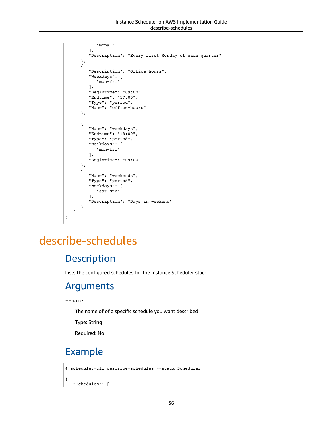```
 "mon#1"
        ], 
        "Description": "Every first Monday of each quarter"
    }, 
    {
        "Description": "Office hours", 
        "Weekdays": [
           "mon-fri"
        ], 
        "Begintime": "09:00", 
        "Endtime": "17:00", 
        "Type": "period", 
        "Name": "office-hours"
    }, 
    {
        "Name": "weekdays", 
        "Endtime": "18:00", 
        "Type": "period", 
        "Weekdays": [
           "mon-fri"
        ], 
        "Begintime": "09:00"
    }, 
    {
        "Name": "weekends", 
        "Type": "period", 
        "Weekdays": [
           "sat-sun"
        ], 
        "Description": "Days in weekend"
    }
 ]
```
## <span id="page-40-1"></span><span id="page-40-0"></span>describe-schedules

#### **Description**

Lists the configured schedules for the Instance Scheduler stack

#### <span id="page-40-2"></span>Arguments

```
--name
```
}

The name of of a specific schedule you want described

Type: String

Required: No

### <span id="page-40-3"></span>Example

```
$ scheduler-cli describe-schedules --stack Scheduler
{
    "Schedules": [
```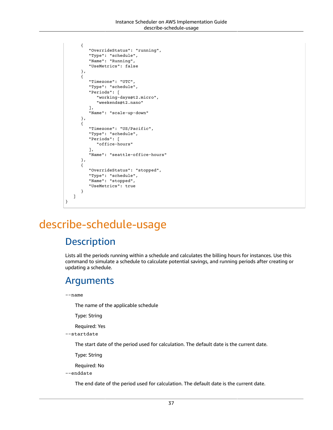```
 {
       "OverrideStatus": "running", 
       "Type": "schedule", 
       "Name": "Running", 
       "UseMetrics": false
    }, 
    {
       "Timezone": "UTC", 
       "Type": "schedule", 
       "Periods": [
           "working-days@t2.micro", 
           "weekends@t2.nano"
       ], 
       "Name": "scale-up-down"
    }, 
    {
       "Timezone": "US/Pacific", 
       "Type": "schedule", 
       "Periods": [
           "office-hours"
       ], 
       "Name": "seattle-office-hours"
    }, 
    {
       "OverrideStatus": "stopped", 
       "Type": "schedule", 
       "Name": "stopped", 
       "UseMetrics": true
    }
 ]
```
# <span id="page-41-1"></span><span id="page-41-0"></span>describe-schedule-usage

#### **Description**

Lists all the periods running within a schedule and calculates the billing hours for instances. Use this command to simulate a schedule to calculate potential savings, and running periods after creating or updating a schedule.

#### <span id="page-41-2"></span>Arguments

--name

}

The name of the applicable schedule

Type: String

Required: Yes

--startdate

The start date of the period used for calculation. The default date is the current date.

Type: String

Required: No

--enddate

The end date of the period used for calculation. The default date is the current date.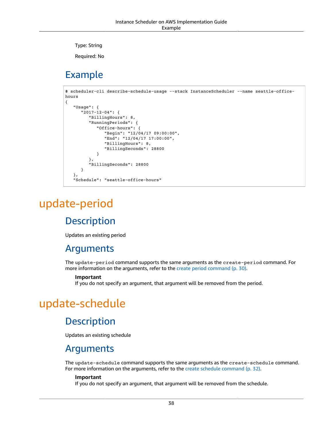Type: String

Required: No

### <span id="page-42-0"></span>Example

```
$ scheduler-cli describe-schedule-usage --stack InstanceScheduler --name seattle-office-
hours
{
    "Usage": {
       "2017-12-04": {
          "BillingHours": 8, 
          "RunningPeriods": {
              "Office-hours": {
                 "Begin": "12/04/17 09:00:00", 
                 "End": "12/04/17 17:00:00", 
                 "BillingHours": 8, 
                 "BillingSeconds": 28800
 }
          }, 
          "BillingSeconds": 28800
       }
    }, 
    "Schedule": "seattle-office-hours"
```
# <span id="page-42-2"></span><span id="page-42-1"></span>update-period

### **Description**

Updates an existing period

#### <span id="page-42-3"></span>Arguments

The update-period command supports the same arguments as the create-period command. For more information on the arguments, refer to the create period [command \(p. 30\).](#page-34-2)

#### **Important**

If you do not specify an argument, that argument will be removed from the period.

## <span id="page-42-5"></span><span id="page-42-4"></span>update-schedule

#### **Description**

Updates an existing schedule

#### <span id="page-42-6"></span>Arguments

The update-schedule command supports the same arguments as the create-schedule command. For more information on the arguments, refer to the create schedule [command \(p. 32\).](#page-36-1)

#### **Important**

If you do not specify an argument, that argument will be removed from the schedule.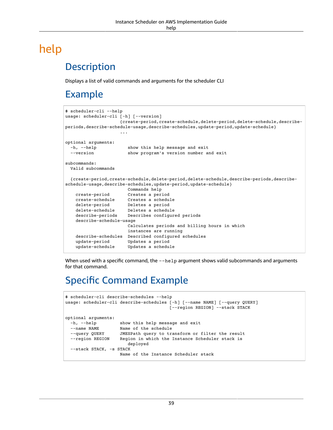# <span id="page-43-1"></span><span id="page-43-0"></span>help

### **Description**

Displays a list of valid commands and arguments for the scheduler CLI

### <span id="page-43-2"></span>Example

```
$ scheduler-cli --help
usage: scheduler-cli [-h] [--version]
                      {create-period,create-schedule,delete-period,delete-schedule,describe-
periods,describe-schedule-usage,describe-schedules,update-period,update-schedule}
 ...
optional arguments:
 -h, --help show this help message and exit
  --version show program's version number and exit
subcommands:
  Valid subcommands
   {create-period,create-schedule,delete-period,delete-schedule,describe-periods,describe-
schedule-usage,describe-schedules,update-period,update-schedule}
                         Commands help
     create-period Creates a period
     create-schedule Creates a schedule
                      Deletes a period
    delete-schedule Deletes a schedule<br>describe-periods Describes configur
                      Describes configured periods
     describe-schedule-usage
                         Calculates periods and billing hours in which
                         instances are running
    describe-schedules Described configured schedules<br>update-period Updates a period
                       Updates a period
     update-schedule Updates a schedule
```
When used with a specific command, the --help argument shows valid subcommands and arguments for that command.

### <span id="page-43-3"></span>Specific Command Example

```
$ scheduler-cli describe-schedules --help
usage: scheduler-cli describe-schedules [-h] [--name NAME] [--query QUERY]
                                                    [--region REGION] --stack STACK
optional arguments:
  -h, --help show this help message and exit<br>--name NAME Name of the schedule
  --name NAME Name of the schedule<br>--query QUERY JMESPath query to tr.
  --query QUERY JMESPath query to transform or filter the result<br>--region REGION Region in which the Instance Scheduler stack is
                          Region in which the Instance Scheduler stack is
                               deployed
  --stack STACK, -s STACK
                           Name of the Instance Scheduler stack
```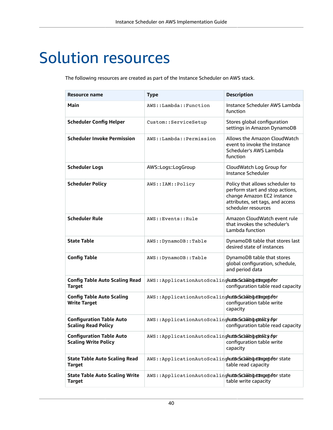# <span id="page-44-0"></span>Solution resources

The following resources are created as part of the Instance Scheduler on AWS stack.

| Resource name                                                  | <b>Type</b>                                                | <b>Description</b>                                                                                                                                          |
|----------------------------------------------------------------|------------------------------------------------------------|-------------------------------------------------------------------------------------------------------------------------------------------------------------|
| Main                                                           | AWS::Lambda::Function                                      | Instance Scheduler AWS Lambda<br>function                                                                                                                   |
| <b>Scheduler Config Helper</b>                                 | Custom:: ServiceSetup                                      | Stores global configuration<br>settings in Amazon DynamoDB                                                                                                  |
| <b>Scheduler Invoke Permission</b>                             | AWS::Lambda::Permission                                    | Allows the Amazon CloudWatch<br>event to invoke the Instance<br>Scheduler's AWS Lambda<br>function                                                          |
| <b>Scheduler Logs</b>                                          | AWS::Logs::LogGroup                                        | CloudWatch Log Group for<br>Instance Scheduler                                                                                                              |
| <b>Scheduler Policy</b>                                        | AWS::IAM::Policy                                           | Policy that allows scheduler to<br>perform start and stop actions,<br>change Amazon EC2 instance<br>attributes, set tags, and access<br>scheduler resources |
| <b>Scheduler Rule</b>                                          | AWS:: Events:: Rule                                        | Amazon CloudWatch event rule<br>that invokes the scheduler's<br>Lambda function                                                                             |
| <b>State Table</b>                                             | AWS::DynamoDB::Table                                       | DynamoDB table that stores last<br>desired state of instances                                                                                               |
| <b>Config Table</b>                                            | AWS::DynamoDB::Table                                       | DynamoDB table that stores<br>global configuration, schedule,<br>and period data                                                                            |
| <b>Config Table Auto Scaling Read</b><br><b>Target</b>         | AWS:: ApplicationAutoScalingAutScachabingeragedfor         | configuration table read capacity                                                                                                                           |
| <b>Config Table Auto Scaling</b><br><b>Write Target</b>        | AWS:: ApplicationAutoScalingAutScachabingerangedfor        | configuration table write<br>capacity                                                                                                                       |
| <b>Configuration Table Auto</b><br><b>Scaling Read Policy</b>  | AWS:: ApplicationAutoScalingAutScachabing and Lydgr        | configuration table read capacity                                                                                                                           |
| <b>Configuration Table Auto</b><br><b>Scaling Write Policy</b> | AWS:: ApplicationAutoScalingAutScachaingeRohicydgr         | configuration table write<br>capacity                                                                                                                       |
| <b>State Table Auto Scaling Read</b><br><b>Target</b>          | AWS:: ApplicationAutoScalingAutScachabingeragedfor state   | table read capacity                                                                                                                                         |
| <b>State Table Auto Scaling Write</b><br><b>Target</b>         | AWS:: ApplicationAutoScalingAutScachabingerangetefor state | table write capacity                                                                                                                                        |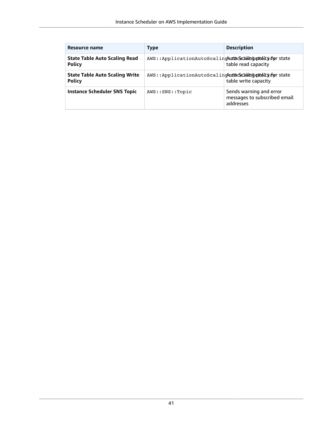| Resource name                                          | <b>Type</b>                                             | <b>Description</b>                                                   |
|--------------------------------------------------------|---------------------------------------------------------|----------------------------------------------------------------------|
| <b>State Table Auto Scaling Read</b><br><b>Policy</b>  | AWS::ApplicationAutoScalincAutScachabingeRobicycorstate | table read capacity                                                  |
| <b>State Table Auto Scaling Write</b><br><b>Policy</b> | AWS::ApplicationAutoScalincAutScachabingeRobicycorstate | table write capacity                                                 |
| <b>Instance Scheduler SNS Topic</b>                    | AWS::SNS::Topic                                         | Sends warning and error<br>messages to subscribed email<br>addresses |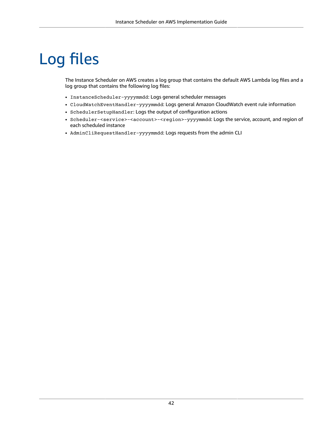# <span id="page-46-0"></span>Log files

The Instance Scheduler on AWS creates a log group that contains the default AWS Lambda log files and a log group that contains the following log files:

- InstanceScheduler-yyyymmdd: Logs general scheduler messages
- CloudWatchEventHandler-yyyymmdd: Logs general Amazon CloudWatch event rule information
- SchedulerSetupHandler: Logs the output of configuration actions
- Scheduler-<service>-<account>-<region>-yyyymmdd: Logs the service, account, and region of each scheduled instance
- AdminCliRequestHandler-yyyymmdd: Logs requests from the admin CLI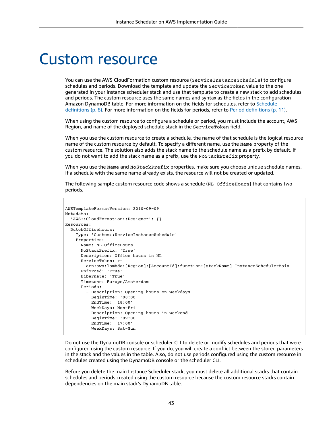# <span id="page-47-0"></span>Custom resource

You can use the AWS CloudFormation custom resource (ServiceInstanceSchedule) to configure schedules and periods. Download the template and update the ServiceToken value to the one generated in your instance scheduler stack and use that template to create a new stack to add schedules and periods. The custom resource uses the same names and syntax as the fields in the configuration Amazon DynamoDB table. For more information on the fields for schedules, refer to [Schedule](#page-12-0) [definitions \(p. 8\)](#page-12-0). For more information on the fields for periods, refer to Period [definitions \(p. 11\).](#page-15-0)

When using the custom resource to configure a schedule or period, you must include the account, AWS Region, and name of the deployed schedule stack in the ServiceToken field.

When you use the custom resource to create a schedule, the name of that schedule is the logical resource name of the custom resource by default. To specify a different name, use the Name property of the custom resource. The solution also adds the stack name to the schedule name as a prefix by default. If you do not want to add the stack name as a prefix, use the NoStackPrefix property.

When you use the Name and NoStackPrefix properties, make sure you choose unique schedule names. If a schedule with the same name already exists, the resource will not be created or updated.

The following sample custom resource code shows a schedule (NL-OfficeHours) that contains two periods.

```
AWSTemplateFormatVersion: 2010-09-09 
Metadata:
   'AWS::CloudFormation::Designer': {}
Resources:
   DutchOfficehours:
     Type: 'Custom::ServiceInstanceSchedule'
     Properties:
       Name: NL-OfficeHours
       NoStackPrefix: 'True'
       Description: Office hours in NL
       ServiceToken: >-
         arn:aws:lambda:[Region]:[AccountId]:function:[stackName]-InstanceSchedulerMain
       Enforced: 'True'
       Hibernate: 'True'
       Timezone: Europe/Amsterdam
       Periods:
          - Description: Opening hours on weekdays
           BeginTime: '08:00'
           EndTime: '18:00'
           WeekDays: Mon-Fri
         - Description: Opening hours in weekend
           BeginTime: '09:00'
           EndTime: '17:00'
           WeekDays: Sat-Sun
```
Do not use the DynamoDB console or scheduler CLI to delete or modify schedules and periods that were configured using the custom resource. If you do, you will create a conflict between the stored parameters in the stack and the values in the table. Also, do not use periods configured using the custom resource in schedules created using the DynamoDB console or the scheduler CLI.

Before you delete the main Instance Scheduler stack, you must delete all additional stacks that contain schedules and periods created using the custom resource because the custom resource stacks contain dependencies on the main stack's DynamoDB table.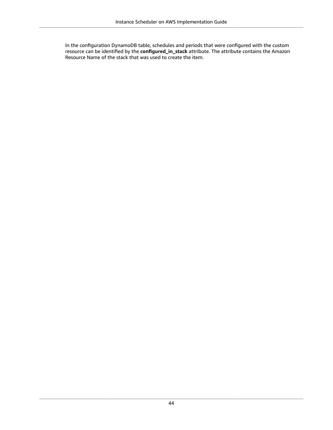In the configuration DynamoDB table, schedules and periods that were configured with the custom resource can be identified by the **configured\_in\_stack** attribute. The attribute contains the Amazon Resource Name of the stack that was used to create the item.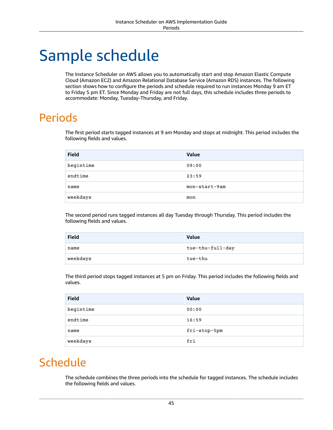# <span id="page-49-0"></span>Sample schedule

The Instance Scheduler on AWS allows you to automatically start and stop Amazon Elastic Compute Cloud (Amazon EC2) and Amazon Relational Database Service (Amazon RDS) instances. The following section shows how to configure the periods and schedule required to run instances Monday 9 am ET to Friday 5 pm ET. Since Monday and Friday are not full days, this schedule includes three periods to accommodate: Monday, Tuesday-Thursday, and Friday.

## <span id="page-49-1"></span>Periods

The first period starts tagged instances at 9 am Monday and stops at midnight. This period includes the following fields and values.

| <b>Field</b> | Value         |
|--------------|---------------|
| begintime    | 09:00         |
| endtime      | 23:59         |
| name         | mon-start-9am |
| weekdays     | mon           |

The second period runs tagged instances all day Tuesday through Thursday. This period includes the following fields and values.

| <b>Field</b> | Value            |
|--------------|------------------|
| name         | tue-thu-full-day |
| weekdays     | tue-thu          |

The third period stops tagged instances at 5 pm on Friday. This period includes the following fields and values.

| <b>Field</b> | <b>Value</b> |
|--------------|--------------|
| begintime    | 00:00        |
| endtime      | 16:59        |
| name         | fri-stop-5pm |
| weekdays     | fri          |

## <span id="page-49-2"></span>Schedule

The schedule combines the three periods into the schedule for tagged instances. The schedule includes the following fields and values.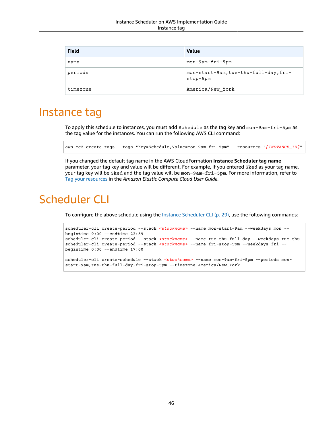| <b>Field</b> | <b>Value</b>                                      |
|--------------|---------------------------------------------------|
| name         | mon-9am-fri-5pm                                   |
| periods      | mon-start-9am, tue-thu-full-day, fri-<br>stop-5pm |
| timezone     | America/New York                                  |

### <span id="page-50-0"></span>Instance tag

To apply this schedule to instances, you must add Schedule as the tag key and mon-9am-fri-5pm as the tag value for the instances. You can run the following AWS CLI command:

aws ec2 create-tags --tags "Key=Schedule,Value=mon-9am-fri-5pm" --resources "*[INSTANCE\_ID]*"

If you changed the default tag name in the AWS CloudFormation **Instance Scheduler tag name** parameter, your tag key and value will be different. For example, if you entered Sked as your tag name, your tag key will be Sked and the tag value will be mon-9am-fri-5pm. For more information, refer to Tag your [resources](https://docs.aws.amazon.com/AWSEC2/latest/UserGuide/Using_Tags.html#tag-ec2-resources-table) in the *Amazon Elastic Compute Cloud User Guide*.

# <span id="page-50-1"></span>Scheduler CLI

To configure the above schedule using the Instance [Scheduler](#page-33-0) CLI [\(p. 29\),](#page-33-0) use the following commands:

```
scheduler-cli create-period --stack <stackname> --name mon-start-9am --weekdays mon --
begintime 9:00 --endtime 23:59
scheduler-cli create-period --stack <stackname> --name tue-thu-full-day --weekdays tue-thu
scheduler-cli create-period --stack <stackname> --name fri-stop-5pm --weekdays fri --
begintime 0:00 --endtime 17:00
scheduler-cli create-schedule --stack <stackname> --name mon-9am-fri-5pm --periods mon-
start-9am, tue-thu-full-day, fri-stop-5pm --timezone America/New_York
```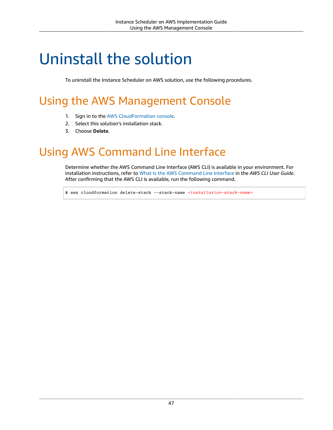# <span id="page-51-0"></span>Uninstall the solution

To uninstall the Instance Scheduler on AWS solution, use the following procedures.

# <span id="page-51-1"></span>Using the AWS Management Console

- 1. Sign in to the AWS [CloudFormation](https://console.aws.amazon.com/cloudformation/) console.
- 2. Select this solution's installation stack.
- 3. Choose **Delete**.

# <span id="page-51-2"></span>Using AWS Command Line Interface

Determine whether the AWS Command Line Interface (AWS CLI) is available in your environment. For installation instructions, refer to What Is the AWS [Command](https://docs.aws.amazon.com/cli/latest/userguide/cli-chap-welcome.html) Line Interface in the *AWS CLI User Guide*. After confirming that the AWS CLI is available, run the following command.

\$ aws cloudformation delete-stack --stack-name *<installation-stack-name>*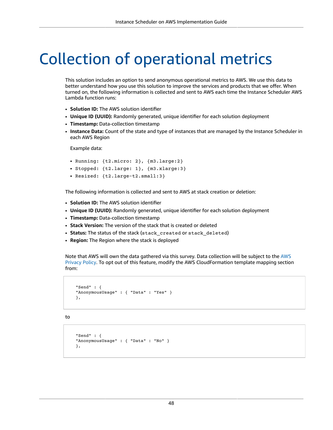# <span id="page-52-0"></span>Collection of operational metrics

This solution includes an option to send anonymous operational metrics to AWS. We use this data to better understand how you use this solution to improve the services and products that we offer. When turned on, the following information is collected and sent to AWS each time the Instance Scheduler AWS Lambda function runs:

- **Solution ID:** The AWS solution identifier
- **Unique ID (UUID):** Randomly generated, unique identifier for each solution deployment
- **Timestamp:** Data-collection timestamp
- **Instance Data:** Count of the state and type of instances that are managed by the Instance Scheduler in each AWS Region

Example data:

- Running: {t2.micro: 2}, {m3.large:2}
- Stopped: {t2.large: 1}, {m3.xlarge:3}
- Resized: {t2.large-t2.small:3}

The following information is collected and sent to AWS at stack creation or deletion:

- **Solution ID:** The AWS solution identifier
- **Unique ID (UUID):** Randomly generated, unique identifier for each solution deployment
- **Timestamp:** Data-collection timestamp
- **Stack Version:** The version of the stack that is created or deleted
- **Status:** The status of the stack (stack\_created or stack\_deleted)
- **Region:** The Region where the stack is deployed

Note that AWS will own the data gathered via this survey. Data collection will be subject to the [AWS](https://aws.amazon.com/privacy/) [Privacy](https://aws.amazon.com/privacy/) Policy. To opt out of this feature, modify the AWS CloudFormation template mapping section from:

```
 "Send" : {
 "AnonymousUsage" : { "Data" : "Yes" }
 },
```
to

```
 "Send" : {
 "AnonymousUsage" : { "Data" : "No" }
 },
```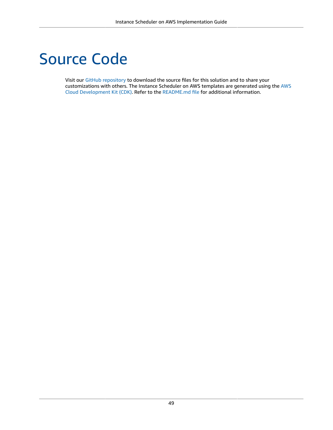# <span id="page-53-0"></span>Source Code

Visit our GitHub [repository](https://github.com/awslabs/aws-instance-scheduler) to download the source files for this solution and to share your customizations with others. The Instance Scheduler on AWS templates are generated using the [AWS](http://aws.amazon.com/cdk/) Cloud [Development](http://aws.amazon.com/cdk/) Kit (CDK). Refer to the [README.md file](https://github.com/awslabs/aws-instance-scheduler/blob/master/README.md) for additional information.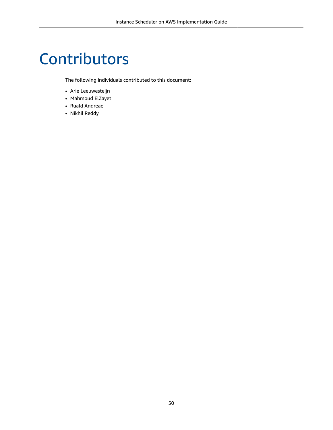# <span id="page-54-0"></span>Contributors

The following individuals contributed to this document:

- Arie Leeuwesteijn
- Mahmoud ElZayet
- Ruald Andreae
- Nikhil Reddy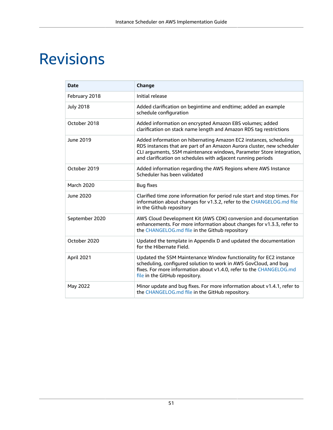# <span id="page-55-0"></span>Revisions

| <b>Date</b>      | Change                                                                                                                                                                                                                                                                              |
|------------------|-------------------------------------------------------------------------------------------------------------------------------------------------------------------------------------------------------------------------------------------------------------------------------------|
| February 2018    | Initial release                                                                                                                                                                                                                                                                     |
| <b>July 2018</b> | Added clarification on begintime and endtime; added an example<br>schedule configuration                                                                                                                                                                                            |
| October 2018     | Added information on encrypted Amazon EBS volumes; added<br>clarification on stack name length and Amazon RDS tag restrictions                                                                                                                                                      |
| June 2019        | Added information on hibernating Amazon EC2 instances, scheduling<br>RDS instances that are part of an Amazon Aurora cluster, new scheduler<br>CLI arguments, SSM maintenance windows, Parameter Store integration,<br>and clarification on schedules with adjacent running periods |
| October 2019     | Added information regarding the AWS Regions where AWS Instance<br>Scheduler has been validated                                                                                                                                                                                      |
| March 2020       | <b>Bug fixes</b>                                                                                                                                                                                                                                                                    |
| June 2020        | Clarified time zone information for period rule start and stop times. For<br>information about changes for v1.3.2, refer to the CHANGELOG.md file<br>in the Github repository                                                                                                       |
| September 2020   | AWS Cloud Development Kit (AWS CDK) conversion and documentation<br>enhancements. For more information about changes for v1.3.3, refer to<br>the CHANGELOG.md file in the Github repository                                                                                         |
| October 2020     | Updated the template in Appendix D and updated the documentation<br>for the Hibernate Field.                                                                                                                                                                                        |
| April 2021       | Updated the SSM Maintenance Window functionality for EC2 instance<br>scheduling, configured solution to work in AWS GovCloud, and bug<br>fixes. For more information about v1.4.0, refer to the CHANGELOG.md<br>file in the GitHub repository.                                      |
| May 2022         | Minor update and bug fixes. For more information about v1.4.1, refer to<br>the CHANGELOG.md file in the GitHub repository.                                                                                                                                                          |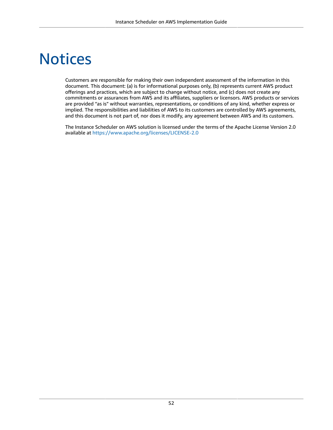# <span id="page-56-0"></span>**Notices**

Customers are responsible for making their own independent assessment of the information in this document. This document: (a) is for informational purposes only, (b) represents current AWS product offerings and practices, which are subject to change without notice, and (c) does not create any commitments or assurances from AWS and its affiliates, suppliers or licensors. AWS products or services are provided "as is" without warranties, representations, or conditions of any kind, whether express or implied. The responsibilities and liabilities of AWS to its customers are controlled by AWS agreements, and this document is not part of, nor does it modify, any agreement between AWS and its customers.

The Instance Scheduler on AWS solution is licensed under the terms of the Apache License Version 2.0 available at <https://www.apache.org/licenses/LICENSE-2.0>